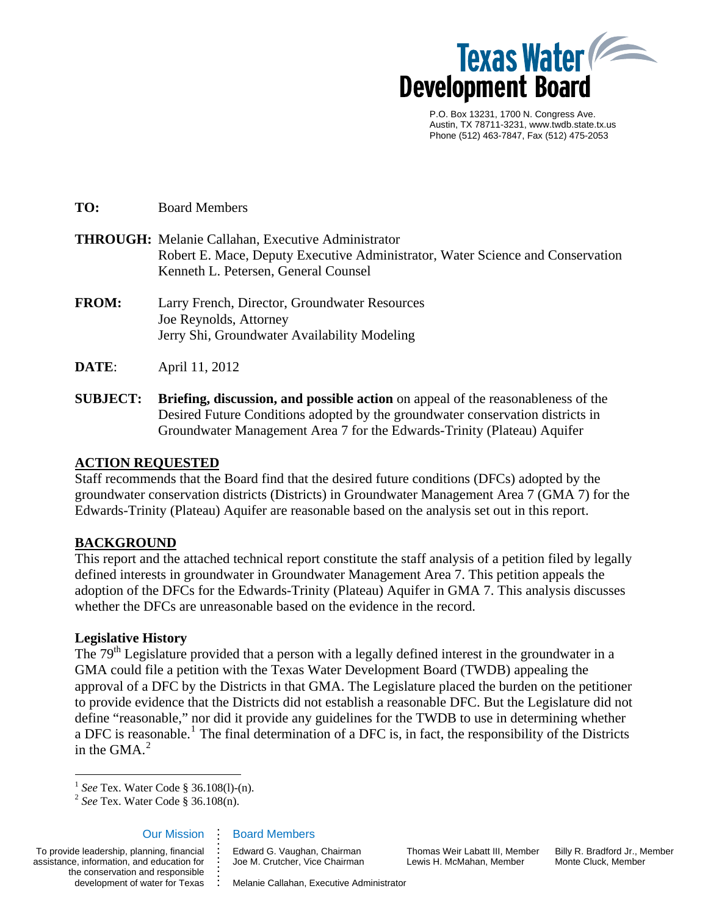

 P.O. Box 13231, 1700 N. Congress Ave. Austin, TX 78711-3231, www.twdb.state.tx.us Phone (512) 463-7847, Fax (512) 475-2053

**TO:** Board Members

**THROUGH:** Melanie Callahan, Executive Administrator Robert E. Mace, Deputy Executive Administrator, Water Science and Conservation Kenneth L. Petersen, General Counsel

- **FROM:** Larry French, Director, Groundwater Resources Joe Reynolds, Attorney Jerry Shi, Groundwater Availability Modeling
- **DATE**: April 11, 2012
- **SUBJECT: Briefing, discussion, and possible action** on appeal of the reasonableness of the Desired Future Conditions adopted by the groundwater conservation districts in Groundwater Management Area 7 for the Edwards-Trinity (Plateau) Aquifer

#### **ACTION REQUESTED**

Staff recommends that the Board find that the desired future conditions (DFCs) adopted by the groundwater conservation districts (Districts) in Groundwater Management Area 7 (GMA 7) for the Edwards-Trinity (Plateau) Aquifer are reasonable based on the analysis set out in this report.

### **BACKGROUND**

This report and the attached technical report constitute the staff analysis of a petition filed by legally defined interests in groundwater in Groundwater Management Area 7. This petition appeals the adoption of the DFCs for the Edwards-Trinity (Plateau) Aquifer in GMA 7. This analysis discusses whether the DFCs are unreasonable based on the evidence in the record.

#### **Legislative History**

The 79<sup>th</sup> Legislature provided that a person with a legally defined interest in the groundwater in a GMA could file a petition with the Texas Water Development Board (TWDB) appealing the approval of a DFC by the Districts in that GMA. The Legislature placed the burden on the petitioner to provide evidence that the Districts did not establish a reasonable DFC. But the Legislature did not define "reasonable," nor did it provide any guidelines for the TWDB to use in determining whether a DFC is reasonable.<sup>[1](#page-0-0)</sup> The final determination of a DFC is, in fact, the responsibility of the Districts in the GMA. $<sup>2</sup>$  $<sup>2</sup>$  $<sup>2</sup>$ </sup>

Our Mission

#### **. . . .**  Board Members

**. . . . . . . . .** 

<span id="page-0-1"></span><span id="page-0-0"></span>To provide leadership, planning, financial assistance, information, and education for the conservation and responsible development of water for Texas

 $\overline{a}$ 

Edward G. Vaughan, Chairman Joe M. Crutcher, Vice Chairman Thomas Weir Labatt III, Member Lewis H. McMahan, Member

Billy R. Bradford Jr., Member Monte Cluck, Member

Melanie Callahan, Executive Administrator

<sup>1</sup> *See* Tex. Water Code § 36.108(l)-(n). 2 *See* Tex. Water Code § 36.108(n).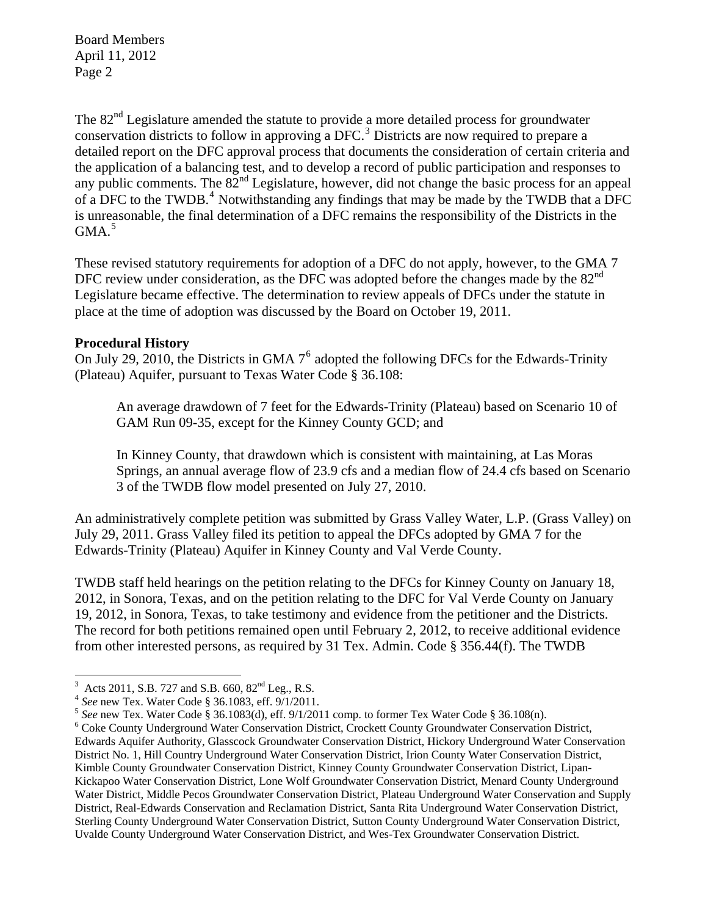The  $82<sup>nd</sup>$  Legislature amended the statute to provide a more detailed process for groundwater conservation districts to follow in approving a DFC.<sup>[3](#page-1-0)</sup> Districts are now required to prepare a detailed report on the DFC approval process that documents the consideration of certain criteria and the application of a balancing test, and to develop a record of public participation and responses to any public comments. The  $82<sup>nd</sup>$  Legislature, however, did not change the basic process for an appeal of a DFC to the TWDB.<sup>[4](#page-1-1)</sup> Notwithstanding any findings that may be made by the TWDB that a DFC is unreasonable, the final determination of a DFC remains the responsibility of the Districts in the  $GMA.<sup>5</sup>$  $GMA.<sup>5</sup>$  $GMA.<sup>5</sup>$ 

These revised statutory requirements for adoption of a DFC do not apply, however, to the GMA 7 DFC review under consideration, as the DFC was adopted before the changes made by the  $82<sup>nd</sup>$ Legislature became effective. The determination to review appeals of DFCs under the statute in place at the time of adoption was discussed by the Board on October 19, 2011.

#### **Procedural History**

On July 29, 2010, the Districts in GMA  $7<sup>6</sup>$  $7<sup>6</sup>$  $7<sup>6</sup>$  adopted the following DFCs for the Edwards-Trinity (Plateau) Aquifer, pursuant to Texas Water Code § 36.108:

An average drawdown of 7 feet for the Edwards-Trinity (Plateau) based on Scenario 10 of GAM Run 09-35, except for the Kinney County GCD; and

In Kinney County, that drawdown which is consistent with maintaining, at Las Moras Springs, an annual average flow of 23.9 cfs and a median flow of 24.4 cfs based on Scenario 3 of the TWDB flow model presented on July 27, 2010.

An administratively complete petition was submitted by Grass Valley Water, L.P. (Grass Valley) on July 29, 2011. Grass Valley filed its petition to appeal the DFCs adopted by GMA 7 for the Edwards-Trinity (Plateau) Aquifer in Kinney County and Val Verde County.

TWDB staff held hearings on the petition relating to the DFCs for Kinney County on January 18, 2012, in Sonora, Texas, and on the petition relating to the DFC for Val Verde County on January 19, 2012, in Sonora, Texas, to take testimony and evidence from the petitioner and the Districts. The record for both petitions remained open until February 2, 2012, to receive additional evidence from other interested persons, as required by 31 Tex. Admin. Code § 356.44(f). The TWDB

 3

<span id="page-1-1"></span><span id="page-1-0"></span><sup>&</sup>lt;sup>4</sup> See new Tex. Water Code § 36.1083, eff.  $9/1/2011$ .<br><sup>5</sup> See new Tex. Water Code § 36.1083(d), eff. 9/1/2011 comp. to former Tex Water Code § 36.108(n).

<span id="page-1-3"></span><span id="page-1-2"></span>Coke County Underground Water Conservation District, Crockett County Groundwater Conservation District, Edwards Aquifer Authority, Glasscock Groundwater Conservation District, Hickory Underground Water Conservation District No. 1, Hill Country Underground Water Conservation District, Irion County Water Conservation District, Kimble County Groundwater Conservation District, Kinney County Groundwater Conservation District, Lipan-Kickapoo Water Conservation District, Lone Wolf Groundwater Conservation District, Menard County Underground Water District, Middle Pecos Groundwater Conservation District, Plateau Underground Water Conservation and Supply District, Real-Edwards Conservation and Reclamation District, Santa Rita Underground Water Conservation District, Sterling County Underground Water Conservation District, Sutton County Underground Water Conservation District, Uvalde County Underground Water Conservation District, and Wes-Tex Groundwater Conservation District.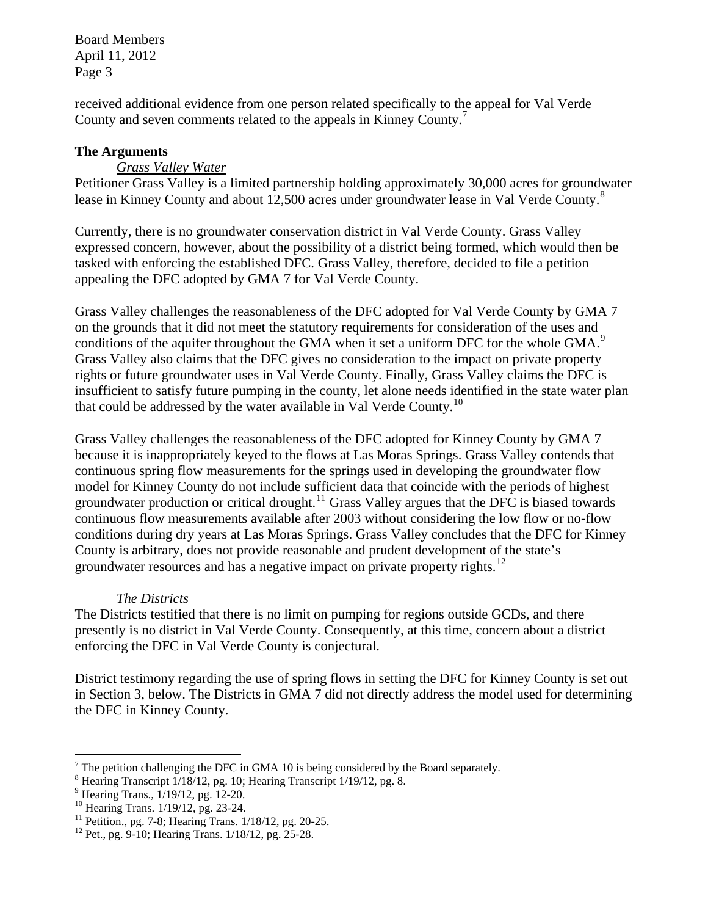received additional evidence from one person related specifically to the appeal for Val Verde County and seven comments related to the appeals in Kinney County.<sup>[7](#page-2-0)</sup>

#### **The Arguments**

### *Grass Valley Water*

Petitioner Grass Valley is a limited partnership holding approximately 30,000 acres for groundwater lease in Kinney County and about 12,500 acres under groundwater lease in Val Verde County.<sup>[8](#page-2-1)</sup>

Currently, there is no groundwater conservation district in Val Verde County. Grass Valley expressed concern, however, about the possibility of a district being formed, which would then be tasked with enforcing the established DFC. Grass Valley, therefore, decided to file a petition appealing the DFC adopted by GMA 7 for Val Verde County.

Grass Valley challenges the reasonableness of the DFC adopted for Val Verde County by GMA 7 on the grounds that it did not meet the statutory requirements for consideration of the uses and conditions of the aquifer throughout the GMA when it set a uniform DFC for the whole GMA.<sup>[9](#page-2-2)</sup> Grass Valley also claims that the DFC gives no consideration to the impact on private property rights or future groundwater uses in Val Verde County. Finally, Grass Valley claims the DFC is insufficient to satisfy future pumping in the county, let alone needs identified in the state water plan that could be addressed by the water available in Val Verde County.<sup>[10](#page-2-3)</sup>

Grass Valley challenges the reasonableness of the DFC adopted for Kinney County by GMA 7 because it is inappropriately keyed to the flows at Las Moras Springs. Grass Valley contends that continuous spring flow measurements for the springs used in developing the groundwater flow model for Kinney County do not include sufficient data that coincide with the periods of highest groundwater production or critical drought.<sup>[11](#page-2-4)</sup> Grass Valley argues that the DFC is biased towards continuous flow measurements available after 2003 without considering the low flow or no-flow conditions during dry years at Las Moras Springs. Grass Valley concludes that the DFC for Kinney County is arbitrary, does not provide reasonable and prudent development of the state's groundwater resources and has a negative impact on private property rights.<sup>[12](#page-2-5)</sup>

### *The Districts*

The Districts testified that there is no limit on pumping for regions outside GCDs, and there presently is no district in Val Verde County. Consequently, at this time, concern about a district enforcing the DFC in Val Verde County is conjectural.

District testimony regarding the use of spring flows in setting the DFC for Kinney County is set out in Section 3, below. The Districts in GMA 7 did not directly address the model used for determining the DFC in Kinney County.

<span id="page-2-0"></span> $<sup>7</sup>$  The petition challenging the DFC in GMA 10 is being considered by the Board separately.</sup>

<span id="page-2-1"></span><sup>&</sup>lt;sup>8</sup> Hearing Transcript 1/18/12, pg. 10; Hearing Transcript 1/19/12, pg. 8.

<span id="page-2-2"></span><sup>9</sup> Hearing Trans., 1/19/12, pg. 12-20.

<span id="page-2-3"></span><sup>10</sup> Hearing Trans. 1/19/12, pg. 23-24.

<span id="page-2-4"></span><sup>&</sup>lt;sup>11</sup> Petition., pg. 7-8; Hearing Trans.  $1/18/12$ , pg. 20-25.

<span id="page-2-5"></span><sup>12</sup> Pet., pg. 9-10; Hearing Trans. 1/18/12, pg. 25-28.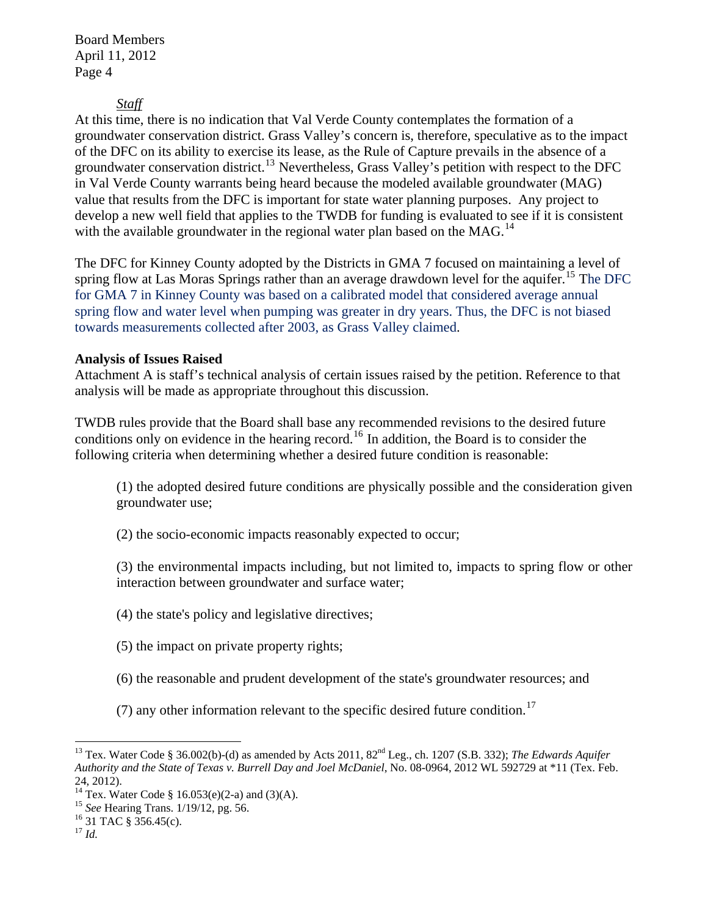#### *Staff*

At this time, there is no indication that Val Verde County contemplates the formation of a groundwater conservation district. Grass Valley's concern is, therefore, speculative as to the impact of the DFC on its ability to exercise its lease, as the Rule of Capture prevails in the absence of a groundwater conservation district.<sup>[13](#page-3-0)</sup> Nevertheless, Grass Valley's petition with respect to the DFC in Val Verde County warrants being heard because the modeled available groundwater (MAG) value that results from the DFC is important for state water planning purposes. Any project to develop a new well field that applies to the TWDB for funding is evaluated to see if it is consistent with the available groundwater in the regional water plan based on the MAG.<sup>[14](#page-3-1)</sup>

The DFC for Kinney County adopted by the Districts in GMA 7 focused on maintaining a level of spring flow at Las Moras Springs rather than an average drawdown level for the aquifer.<sup>[15](#page-3-2)</sup> The DFC for GMA 7 in Kinney County was based on a calibrated model that considered average annual spring flow and water level when pumping was greater in dry years. Thus, the DFC is not biased towards measurements collected after 2003, as Grass Valley claimed.

#### **Analysis of Issues Raised**

Attachment A is staff's technical analysis of certain issues raised by the petition. Reference to that analysis will be made as appropriate throughout this discussion.

TWDB rules provide that the Board shall base any recommended revisions to the desired future conditions only on evidence in the hearing record.<sup>[16](#page-3-3)</sup> In addition, the Board is to consider the following criteria when determining whether a desired future condition is reasonable:

(1) the adopted desired future conditions are physically possible and the consideration given groundwater use;

(2) the socio-economic impacts reasonably expected to occur;

(3) the environmental impacts including, but not limited to, impacts to spring flow or other interaction between groundwater and surface water;

- (4) the state's policy and legislative directives;
- (5) the impact on private property rights;
- (6) the reasonable and prudent development of the state's groundwater resources; and
- (7) any other information relevant to the specific desired future condition.<sup>[17](#page-3-4)</sup>

<span id="page-3-0"></span><sup>&</sup>lt;sup>13</sup> Tex. Water Code § 36.002(b)-(d) as amended by Acts 2011, 82<sup>nd</sup> Leg., ch. 1207 (S.B. 332); *The Edwards Aquifer Authority and the State of Texas v. Burrell Day and Joel McDaniel*, No. 08-0964, 2012 WL 592729 at \*11 (Tex. Feb. 24, 2012).

<span id="page-3-1"></span><sup>&</sup>lt;sup>14</sup> Tex. Water Code § 16.053(e)(2-a) and (3)(A).

<span id="page-3-2"></span><sup>&</sup>lt;sup>15</sup> *See* Hearing Trans. 1/19/12, pg. 56.<br><sup>16</sup> 31 TAC § 356.45(c).

<span id="page-3-4"></span><span id="page-3-3"></span> $^{17}$  *Id.*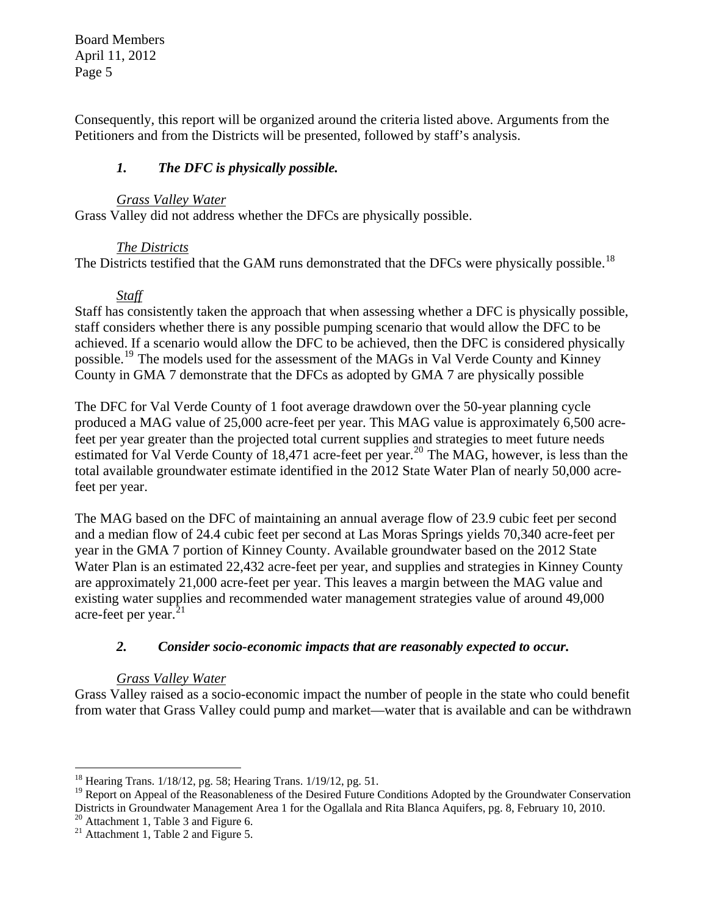Consequently, this report will be organized around the criteria listed above. Arguments from the Petitioners and from the Districts will be presented, followed by staff's analysis.

### *1. The DFC is physically possible.*

### *Grass Valley Water*

Grass Valley did not address whether the DFCs are physically possible.

### *The Districts*

The Districts testified that the GAM runs demonstrated that the DFCs were physically possible.<sup>[18](#page-4-0)</sup>

### *Staff*

Staff has consistently taken the approach that when assessing whether a DFC is physically possible, staff considers whether there is any possible pumping scenario that would allow the DFC to be achieved. If a scenario would allow the DFC to be achieved, then the DFC is considered physically possible.<sup>[19](#page-4-1)</sup> The models used for the assessment of the MAGs in Val Verde County and Kinney County in GMA 7 demonstrate that the DFCs as adopted by GMA 7 are physically possible

The DFC for Val Verde County of 1 foot average drawdown over the 50-year planning cycle produced a MAG value of 25,000 acre-feet per year. This MAG value is approximately 6,500 acrefeet per year greater than the projected total current supplies and strategies to meet future needs estimated for Val Verde County of 18,471 acre-feet per year.<sup>[20](#page-4-2)</sup> The MAG, however, is less than the total available groundwater estimate identified in the 2012 State Water Plan of nearly 50,000 acrefeet per year.

The MAG based on the DFC of maintaining an annual average flow of 23.9 cubic feet per second and a median flow of 24.4 cubic feet per second at Las Moras Springs yields 70,340 acre-feet per year in the GMA 7 portion of Kinney County. Available groundwater based on the 2012 State Water Plan is an estimated 22,432 acre-feet per year, and supplies and strategies in Kinney County are approximately 21,000 acre-feet per year. This leaves a margin between the MAG value and existing water supplies and recommended water management strategies value of around 49,000 acre-feet per year. $<sup>21</sup>$  $<sup>21</sup>$  $<sup>21</sup>$ </sup>

### *2. Consider socio-economic impacts that are reasonably expected to occur.*

### *Grass Valley Water*

Grass Valley raised as a socio-economic impact the number of people in the state who could benefit from water that Grass Valley could pump and market—water that is available and can be withdrawn

<span id="page-4-2"></span> $20$  Attachment 1, Table 3 and Figure 6.

<span id="page-4-0"></span><sup>&</sup>lt;sup>18</sup> Hearing Trans. 1/18/12, pg. 58; Hearing Trans. 1/19/12, pg. 51.

<span id="page-4-1"></span><sup>&</sup>lt;sup>19</sup> Report on Appeal of the Reasonableness of the Desired Future Conditions Adopted by the Groundwater Conservation Districts in Groundwater Management Area 1 for the Ogallala and Rita Blanca Aquifers, pg. 8, February 10, 2010.

<span id="page-4-3"></span> $21$  Attachment 1, Table 2 and Figure 5.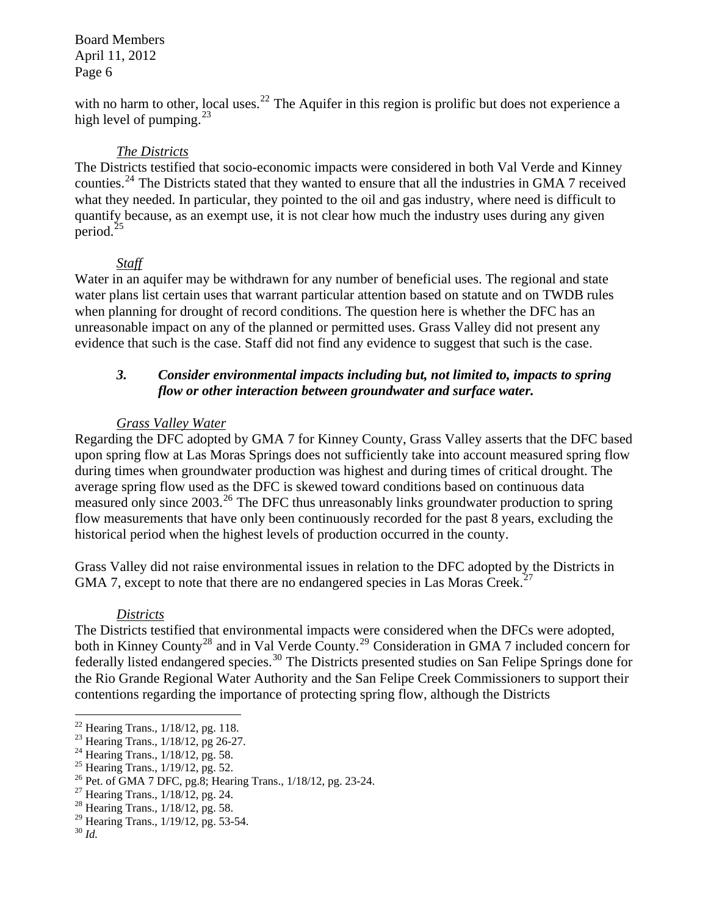with no harm to other, local uses.<sup>[22](#page-5-0)</sup> The Aquifer in this region is prolific but does not experience a high level of pumping.  $23$ 

#### *The Districts*

The Districts testified that socio-economic impacts were considered in both Val Verde and Kinney counties.<sup>[24](#page-5-2)</sup> The Districts stated that they wanted to ensure that all the industries in GMA 7 received what they needed. In particular, they pointed to the oil and gas industry, where need is difficult to quantify because, as an exempt use, it is not clear how much the industry uses during any given period.<sup>[25](#page-5-3)</sup>

#### *Staff*

Water in an aquifer may be withdrawn for any number of beneficial uses. The regional and state water plans list certain uses that warrant particular attention based on statute and on TWDB rules when planning for drought of record conditions. The question here is whether the DFC has an unreasonable impact on any of the planned or permitted uses. Grass Valley did not present any evidence that such is the case. Staff did not find any evidence to suggest that such is the case.

### *3. Consider environmental impacts including but, not limited to, impacts to spring flow or other interaction between groundwater and surface water.*

#### *Grass Valley Water*

Regarding the DFC adopted by GMA 7 for Kinney County, Grass Valley asserts that the DFC based upon spring flow at Las Moras Springs does not sufficiently take into account measured spring flow during times when groundwater production was highest and during times of critical drought. The average spring flow used as the DFC is skewed toward conditions based on continuous data measured only since  $2003<sup>26</sup>$  $2003<sup>26</sup>$  $2003<sup>26</sup>$ . The DFC thus unreasonably links groundwater production to spring flow measurements that have only been continuously recorded for the past 8 years, excluding the historical period when the highest levels of production occurred in the county.

Grass Valley did not raise environmental issues in relation to the DFC adopted by the Districts in GMA 7, except to note that there are no endangered species in Las Moras Creek.<sup>[27](#page-5-5)</sup>

#### *Districts*

The Districts testified that environmental impacts were considered when the DFCs were adopted, both in Kinney County<sup>[28](#page-5-6)</sup> and in Val Verde County.<sup>[29](#page-5-7)</sup> Consideration in GMA 7 included concern for federally listed endangered species.<sup>[30](#page-5-8)</sup> The Districts presented studies on San Felipe Springs done for the Rio Grande Regional Water Authority and the San Felipe Creek Commissioners to support their contentions regarding the importance of protecting spring flow, although the Districts

 $22$  Hearing Trans.,  $1/18/12$ , pg. 118.

<span id="page-5-0"></span><sup>23</sup> Hearing Trans., 1/18/12, pg 26-27.

<span id="page-5-2"></span><span id="page-5-1"></span><sup>&</sup>lt;sup>24</sup> Hearing Trans., 1/18/12, pg. 58.

<span id="page-5-3"></span> $^{25}$  Hearing Trans.,  $1/19/12$ , pg. 52.

<span id="page-5-4"></span><sup>26</sup> Pet. of GMA 7 DFC, pg.8; Hearing Trans., 1/18/12, pg. 23-24.

<span id="page-5-5"></span> $27$  Hearing Trans.,  $1/18/12$ , pg. 24.

<span id="page-5-6"></span><sup>28</sup> Hearing Trans., 1/18/12, pg. 58.

<span id="page-5-7"></span><sup>29</sup> Hearing Trans., 1/19/12, pg. 53-54.

<span id="page-5-8"></span><sup>30</sup> *Id.*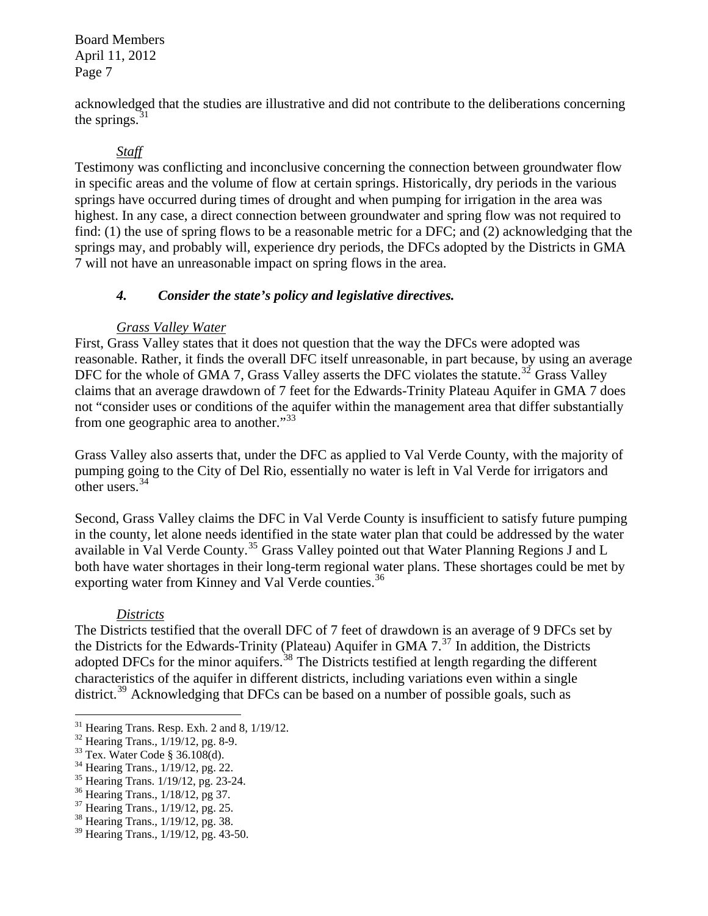acknowledged that the studies are illustrative and did not contribute to the deliberations concerning the springs. $31$ 

#### *Staff*

Testimony was conflicting and inconclusive concerning the connection between groundwater flow in specific areas and the volume of flow at certain springs. Historically, dry periods in the various springs have occurred during times of drought and when pumping for irrigation in the area was highest. In any case, a direct connection between groundwater and spring flow was not required to find: (1) the use of spring flows to be a reasonable metric for a DFC; and (2) acknowledging that the springs may, and probably will, experience dry periods, the DFCs adopted by the Districts in GMA 7 will not have an unreasonable impact on spring flows in the area.

#### *4. Consider the state's policy and legislative directives.*

#### *Grass Valley Water*

First, Grass Valley states that it does not question that the way the DFCs were adopted was reasonable. Rather, it finds the overall DFC itself unreasonable, in part because, by using an average DFC for the whole of GMA 7, Grass Valley asserts the DFC violates the statute.<sup>[32](#page-6-1)</sup> Grass Valley claims that an average drawdown of 7 feet for the Edwards-Trinity Plateau Aquifer in GMA 7 does not "consider uses or conditions of the aquifer within the management area that differ substantially from one geographic area to another."<sup>[33](#page-6-2)</sup>

Grass Valley also asserts that, under the DFC as applied to Val Verde County, with the majority of pumping going to the City of Del Rio, essentially no water is left in Val Verde for irrigators and other users.<sup>[34](#page-6-3)</sup>

Second, Grass Valley claims the DFC in Val Verde County is insufficient to satisfy future pumping in the county, let alone needs identified in the state water plan that could be addressed by the water available in Val Verde County.<sup>[35](#page-6-4)</sup> Grass Valley pointed out that Water Planning Regions J and L both have water shortages in their long-term regional water plans. These shortages could be met by exporting water from Kinney and Val Verde counties.<sup>[36](#page-6-5)</sup>

#### *Districts*

The Districts testified that the overall DFC of 7 feet of drawdown is an average of 9 DFCs set by the Districts for the Edwards-Trinity (Plateau) Aquifer in GMA  $7<sup>37</sup>$  $7<sup>37</sup>$  $7<sup>37</sup>$  In addition, the Districts adopted DFCs for the minor aquifers.<sup>[38](#page-6-7)</sup> The Districts testified at length regarding the different characteristics of the aquifer in different districts, including variations even within a single district.<sup>[39](#page-6-8)</sup> Acknowledging that DFCs can be based on a number of possible goals, such as

- <span id="page-6-4"></span>35 Hearing Trans. 1/19/12, pg. 23-24.
- <span id="page-6-5"></span>36 Hearing Trans., 1/18/12, pg 37.
- <span id="page-6-6"></span>37 Hearing Trans., 1/19/12, pg. 25.

<span id="page-6-0"></span> $31$  Hearing Trans. Resp. Exh. 2 and 8,  $1/19/12$ .

<span id="page-6-1"></span> $32$  Hearing Trans.,  $1/19/12$ , pg. 8-9.

<span id="page-6-2"></span><sup>33</sup> Tex. Water Code § 36.108(d).

<span id="page-6-3"></span><sup>34</sup> Hearing Trans., 1/19/12, pg. 22.

<span id="page-6-7"></span><sup>38</sup> Hearing Trans., 1/19/12, pg. 38.

<span id="page-6-8"></span><sup>39</sup> Hearing Trans., 1/19/12, pg. 43-50.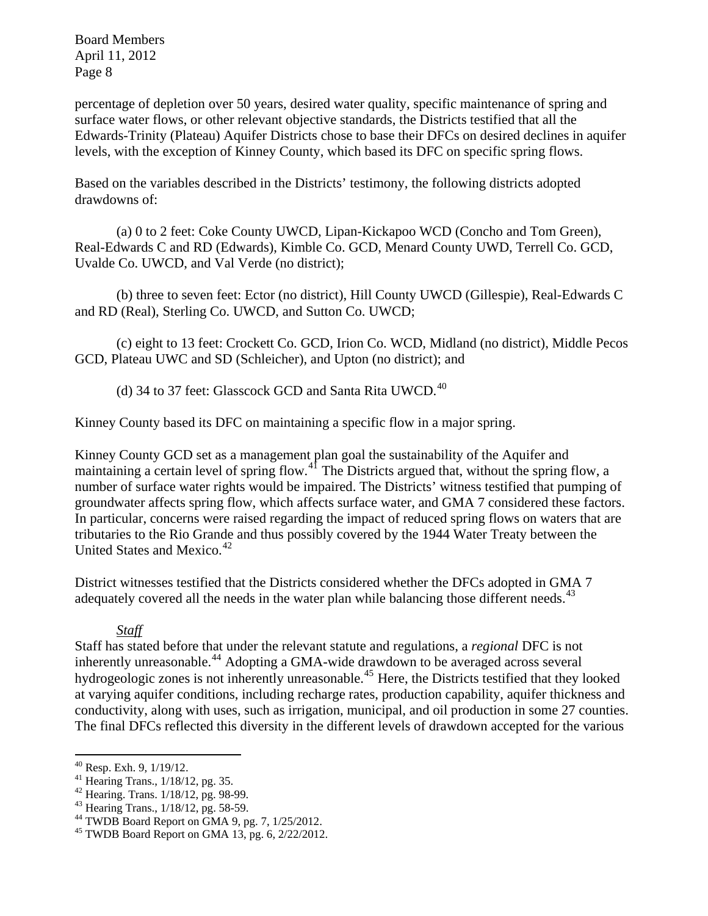percentage of depletion over 50 years, desired water quality, specific maintenance of spring and surface water flows, or other relevant objective standards, the Districts testified that all the Edwards-Trinity (Plateau) Aquifer Districts chose to base their DFCs on desired declines in aquifer levels, with the exception of Kinney County, which based its DFC on specific spring flows.

Based on the variables described in the Districts' testimony, the following districts adopted drawdowns of:

(a) 0 to 2 feet: Coke County UWCD, Lipan-Kickapoo WCD (Concho and Tom Green), Real-Edwards C and RD (Edwards), Kimble Co. GCD, Menard County UWD, Terrell Co. GCD, Uvalde Co. UWCD, and Val Verde (no district);

(b) three to seven feet: Ector (no district), Hill County UWCD (Gillespie), Real-Edwards C and RD (Real), Sterling Co. UWCD, and Sutton Co. UWCD;

(c) eight to 13 feet: Crockett Co. GCD, Irion Co. WCD, Midland (no district), Middle Pecos GCD, Plateau UWC and SD (Schleicher), and Upton (no district); and

(d) 34 to 37 feet: Glasscock GCD and Santa Rita UWCD.<sup>[40](#page-7-0)</sup>

Kinney County based its DFC on maintaining a specific flow in a major spring.

Kinney County GCD set as a management plan goal the sustainability of the Aquifer and maintaining a certain level of spring flow.<sup>[41](#page-7-1)</sup> The Districts argued that, without the spring flow, a number of surface water rights would be impaired. The Districts' witness testified that pumping of groundwater affects spring flow, which affects surface water, and GMA 7 considered these factors. In particular, concerns were raised regarding the impact of reduced spring flows on waters that are tributaries to the Rio Grande and thus possibly covered by the 1944 Water Treaty between the United States and Mexico.<sup>[42](#page-7-2)</sup>

District witnesses testified that the Districts considered whether the DFCs adopted in GMA 7 adequately covered all the needs in the water plan while balancing those different needs.<sup>[43](#page-7-3)</sup>

### *Staff*

Staff has stated before that under the relevant statute and regulations, a *regional* DFC is not inherently unreasonable.<sup>[44](#page-7-4)</sup> Adopting a GMA-wide drawdown to be averaged across several hydrogeologic zones is not inherently unreasonable.<sup>[45](#page-7-5)</sup> Here, the Districts testified that they looked at varying aquifer conditions, including recharge rates, production capability, aquifer thickness and conductivity, along with uses, such as irrigation, municipal, and oil production in some 27 counties. The final DFCs reflected this diversity in the different levels of drawdown accepted for the various

<sup>40</sup> Resp. Exh. 9, 1/19/12.

<span id="page-7-1"></span><span id="page-7-0"></span><sup>41</sup> Hearing Trans., 1/18/12, pg. 35.

<span id="page-7-2"></span><sup>42</sup> Hearing. Trans. 1/18/12, pg. 98-99.

<span id="page-7-3"></span><sup>43</sup> Hearing Trans., 1/18/12, pg. 58-59.

<span id="page-7-4"></span><sup>44</sup> TWDB Board Report on GMA 9, pg. 7, 1/25/2012.

<span id="page-7-5"></span><sup>45</sup> TWDB Board Report on GMA 13, pg. 6, 2/22/2012.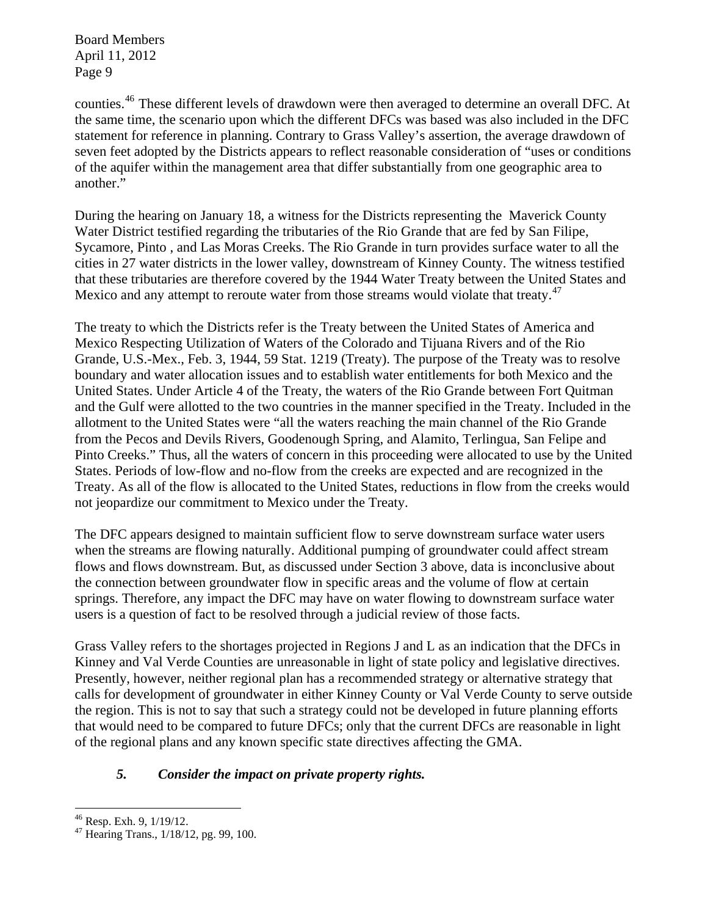counties.[46](#page-8-0) These different levels of drawdown were then averaged to determine an overall DFC. At the same time, the scenario upon which the different DFCs was based was also included in the DFC statement for reference in planning. Contrary to Grass Valley's assertion, the average drawdown of seven feet adopted by the Districts appears to reflect reasonable consideration of "uses or conditions of the aquifer within the management area that differ substantially from one geographic area to another."

During the hearing on January 18, a witness for the Districts representing the Maverick County Water District testified regarding the tributaries of the Rio Grande that are fed by San Filipe, Sycamore, Pinto , and Las Moras Creeks. The Rio Grande in turn provides surface water to all the cities in 27 water districts in the lower valley, downstream of Kinney County. The witness testified that these tributaries are therefore covered by the 1944 Water Treaty between the United States and Mexico and any attempt to reroute water from those streams would violate that treaty.<sup>[47](#page-8-1)</sup>

The treaty to which the Districts refer is the Treaty between the United States of America and Mexico Respecting Utilization of Waters of the Colorado and Tijuana Rivers and of the Rio Grande, U.S.-Mex., Feb. 3, 1944, 59 Stat. 1219 (Treaty). The purpose of the Treaty was to resolve boundary and water allocation issues and to establish water entitlements for both Mexico and the United States. Under Article 4 of the Treaty, the waters of the Rio Grande between Fort Quitman and the Gulf were allotted to the two countries in the manner specified in the Treaty. Included in the allotment to the United States were "all the waters reaching the main channel of the Rio Grande from the Pecos and Devils Rivers, Goodenough Spring, and Alamito, Terlingua, San Felipe and Pinto Creeks." Thus, all the waters of concern in this proceeding were allocated to use by the United States. Periods of low-flow and no-flow from the creeks are expected and are recognized in the Treaty. As all of the flow is allocated to the United States, reductions in flow from the creeks would not jeopardize our commitment to Mexico under the Treaty.

The DFC appears designed to maintain sufficient flow to serve downstream surface water users when the streams are flowing naturally. Additional pumping of groundwater could affect stream flows and flows downstream. But, as discussed under Section 3 above, data is inconclusive about the connection between groundwater flow in specific areas and the volume of flow at certain springs. Therefore, any impact the DFC may have on water flowing to downstream surface water users is a question of fact to be resolved through a judicial review of those facts.

Grass Valley refers to the shortages projected in Regions J and L as an indication that the DFCs in Kinney and Val Verde Counties are unreasonable in light of state policy and legislative directives. Presently, however, neither regional plan has a recommended strategy or alternative strategy that calls for development of groundwater in either Kinney County or Val Verde County to serve outside the region. This is not to say that such a strategy could not be developed in future planning efforts that would need to be compared to future DFCs; only that the current DFCs are reasonable in light of the regional plans and any known specific state directives affecting the GMA.

### *5. Consider the impact on private property rights.*

 $\overline{a}$ 46 Resp. Exh. 9, 1/19/12.

<span id="page-8-1"></span><span id="page-8-0"></span> $^{47}$  Hearing Trans.,  $1/18/12$ , pg. 99, 100.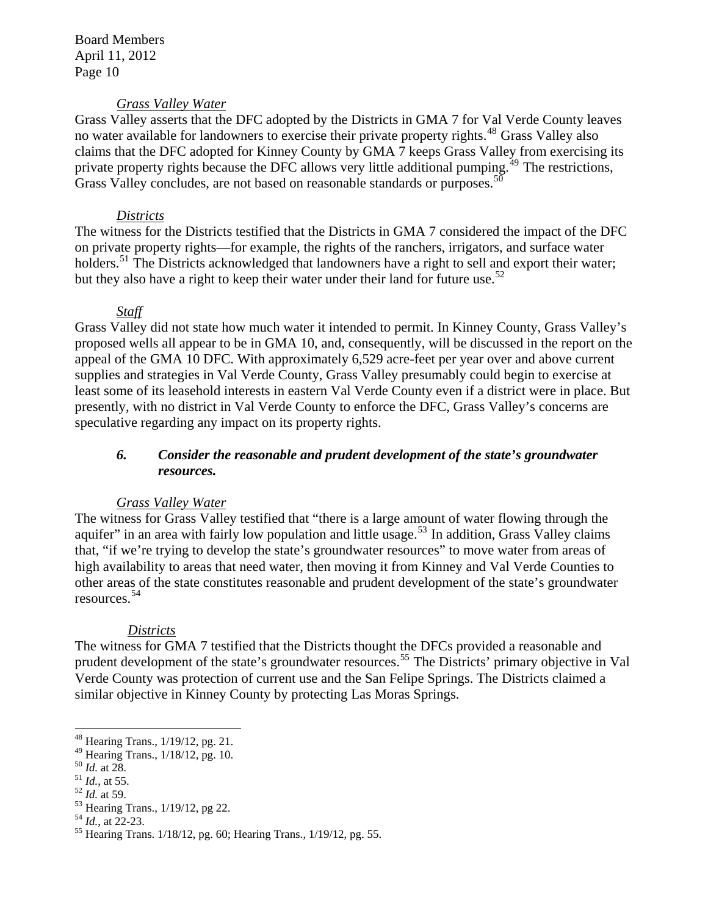#### *Grass Valley Water*

Grass Valley asserts that the DFC adopted by the Districts in GMA 7 for Val Verde County leaves no water available for landowners to exercise their private property rights.<sup>[48](#page-9-0)</sup> Grass Valley also claims that the DFC adopted for Kinney County by GMA 7 keeps Grass Valley from exercising its private property rights because the DFC allows very little additional pumping.<sup>[49](#page-9-1)</sup> The restrictions, Grass Valley concludes, are not based on reasonable standards or purposes.<sup>[50](#page-9-2)</sup>

#### *Districts*

The witness for the Districts testified that the Districts in GMA 7 considered the impact of the DFC on private property rights—for example, the rights of the ranchers, irrigators, and surface water holders.<sup>[51](#page-9-3)</sup> The Districts acknowledged that landowners have a right to sell and export their water; but they also have a right to keep their water under their land for future use.<sup>[52](#page-9-4)</sup>

#### *Staff*

Grass Valley did not state how much water it intended to permit. In Kinney County, Grass Valley's proposed wells all appear to be in GMA 10, and, consequently, will be discussed in the report on the appeal of the GMA 10 DFC. With approximately 6,529 acre-feet per year over and above current supplies and strategies in Val Verde County, Grass Valley presumably could begin to exercise at least some of its leasehold interests in eastern Val Verde County even if a district were in place. But presently, with no district in Val Verde County to enforce the DFC, Grass Valley's concerns are speculative regarding any impact on its property rights.

#### *6. Consider the reasonable and prudent development of the state's groundwater resources.*

#### *Grass Valley Water*

The witness for Grass Valley testified that "there is a large amount of water flowing through the aquifer" in an area with fairly low population and little usage.<sup>[53](#page-9-5)</sup> In addition, Grass Valley claims that, "if we're trying to develop the state's groundwater resources" to move water from areas of high availability to areas that need water, then moving it from Kinney and Val Verde Counties to other areas of the state constitutes reasonable and prudent development of the state's groundwater resources.[54](#page-9-6)

#### *Districts*

The witness for GMA 7 testified that the Districts thought the DFCs provided a reasonable and prudent development of the state's groundwater resources.<sup>[55](#page-9-7)</sup> The Districts' primary objective in Val Verde County was protection of current use and the San Felipe Springs. The Districts claimed a similar objective in Kinney County by protecting Las Moras Springs.

<span id="page-9-3"></span><span id="page-9-2"></span><sup>51</sup> *Id.*, at 55.<br><sup>52</sup> *Id.* at 59.<br><sup>53</sup> Hearing Trans., 1/19/12, pg 22.<br><sup>54</sup> *Id.*, at 22-23.

 $\overline{a}$ 48 Hearing Trans., 1/19/12, pg. 21.

<span id="page-9-1"></span><span id="page-9-0"></span><sup>&</sup>lt;sup>49</sup> Hearing Trans.,  $1/18/12$ , pg. 10.<br><sup>50</sup> *Id.* at 28.

<span id="page-9-5"></span><span id="page-9-4"></span>

<span id="page-9-6"></span>

<span id="page-9-7"></span><sup>&</sup>lt;sup>55</sup> Hearing Trans. 1/18/12, pg. 60; Hearing Trans., 1/19/12, pg. 55.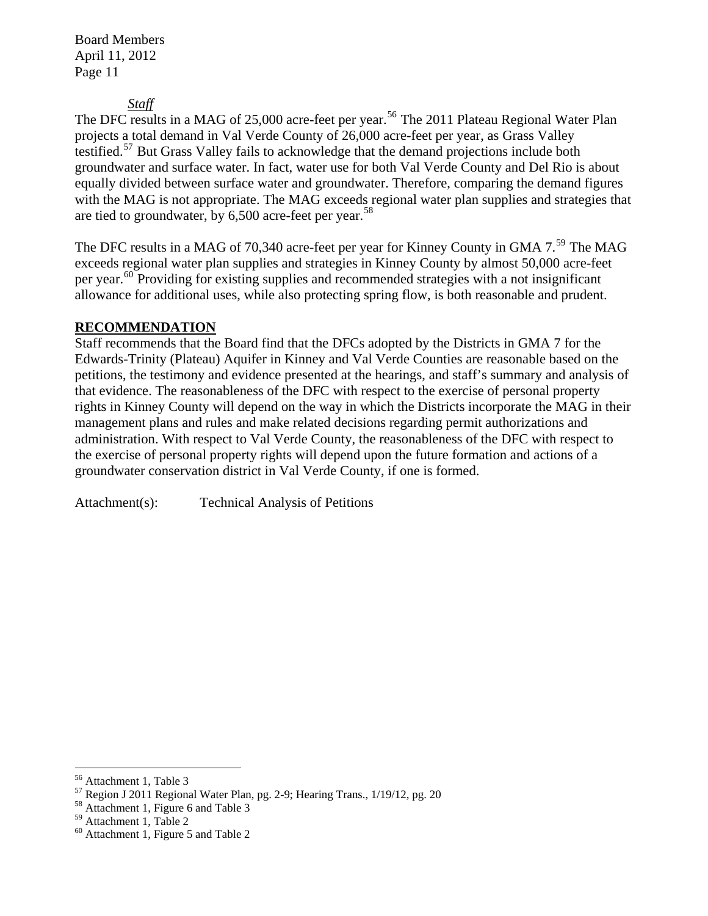#### *Staff*

The DFC results in a MAG of 25,000 acre-feet per year.<sup>[56](#page-10-0)</sup> The 2011 Plateau Regional Water Plan projects a total demand in Val Verde County of 26,000 acre-feet per year, as Grass Valley testified.<sup>[57](#page-10-1)</sup> But Grass Valley fails to acknowledge that the demand projections include both groundwater and surface water. In fact, water use for both Val Verde County and Del Rio is about equally divided between surface water and groundwater. Therefore, comparing the demand figures with the MAG is not appropriate. The MAG exceeds regional water plan supplies and strategies that are tied to groundwater, by  $6,500$  acre-feet per year.<sup>[58](#page-10-2)</sup>

The DFC results in a MAG of 70,340 acre-feet per year for Kinney County in GMA 7.<sup>[59](#page-10-3)</sup> The MAG exceeds regional water plan supplies and strategies in Kinney County by almost 50,000 acre-feet per year.<sup>[60](#page-10-4)</sup> Providing for existing supplies and recommended strategies with a not insignificant allowance for additional uses, while also protecting spring flow, is both reasonable and prudent.

### **RECOMMENDATION**

Staff recommends that the Board find that the DFCs adopted by the Districts in GMA 7 for the Edwards-Trinity (Plateau) Aquifer in Kinney and Val Verde Counties are reasonable based on the petitions, the testimony and evidence presented at the hearings, and staff's summary and analysis of that evidence. The reasonableness of the DFC with respect to the exercise of personal property rights in Kinney County will depend on the way in which the Districts incorporate the MAG in their management plans and rules and make related decisions regarding permit authorizations and administration. With respect to Val Verde County, the reasonableness of the DFC with respect to the exercise of personal property rights will depend upon the future formation and actions of a groundwater conservation district in Val Verde County, if one is formed.

Attachment(s): Technical Analysis of Petitions

 $\overline{a}$ 56 Attachment 1, Table 3

<span id="page-10-1"></span><span id="page-10-0"></span><sup>57</sup> Region J 2011 Regional Water Plan, pg. 2-9; Hearing Trans., 1/19/12, pg. 20

<span id="page-10-2"></span><sup>58</sup> Attachment 1, Figure 6 and Table 3

<span id="page-10-3"></span><sup>59</sup> Attachment 1, Table 2

<span id="page-10-4"></span> $60$  Attachment 1, Figure 5 and Table 2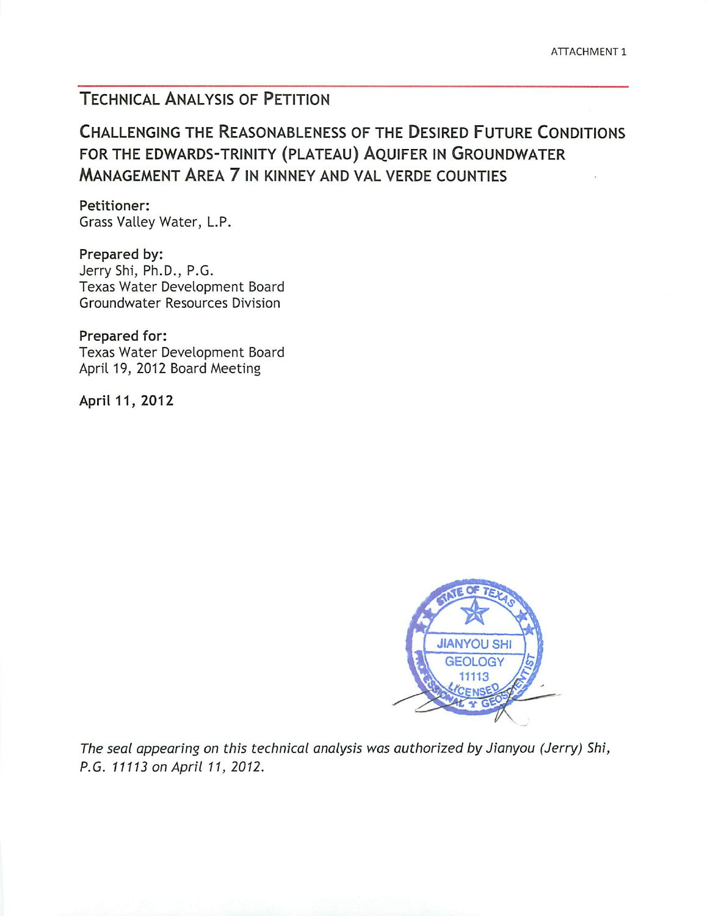## **TECHNICAL ANALYSIS OF PETITION**

## **CHALLENGING THE REASONABLENESS OF THE DESIRED FUTURE CONDITIONS** FOR THE EDWARDS-TRINITY (PLATEAU) AQUIFER IN GROUNDWATER **MANAGEMENT AREA 7 IN KINNEY AND VAL VERDE COUNTIES**

**Petitioner:** Grass Valley Water, L.P.

Prepared by: Jerry Shi, Ph.D., P.G. Texas Water Development Board **Groundwater Resources Division** 

Prepared for: Texas Water Development Board April 19, 2012 Board Meeting

April 11, 2012



The seal appearing on this technical analysis was authorized by Jianyou (Jerry) Shi, P.G. 11113 on April 11, 2012.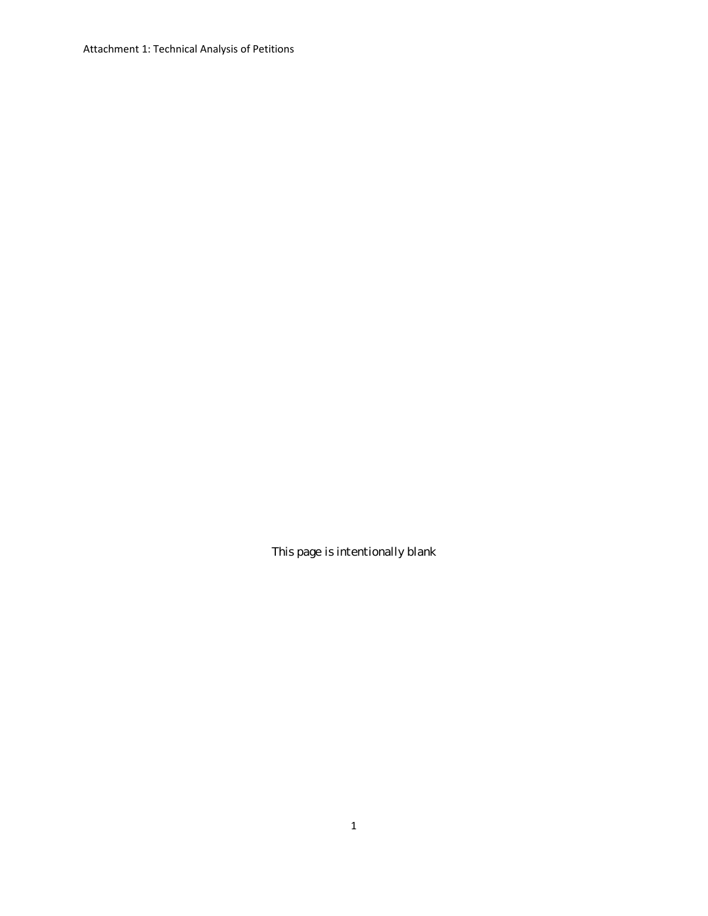Attachment 1: Technical Analysis of Petitions

*This page is intentionally blank*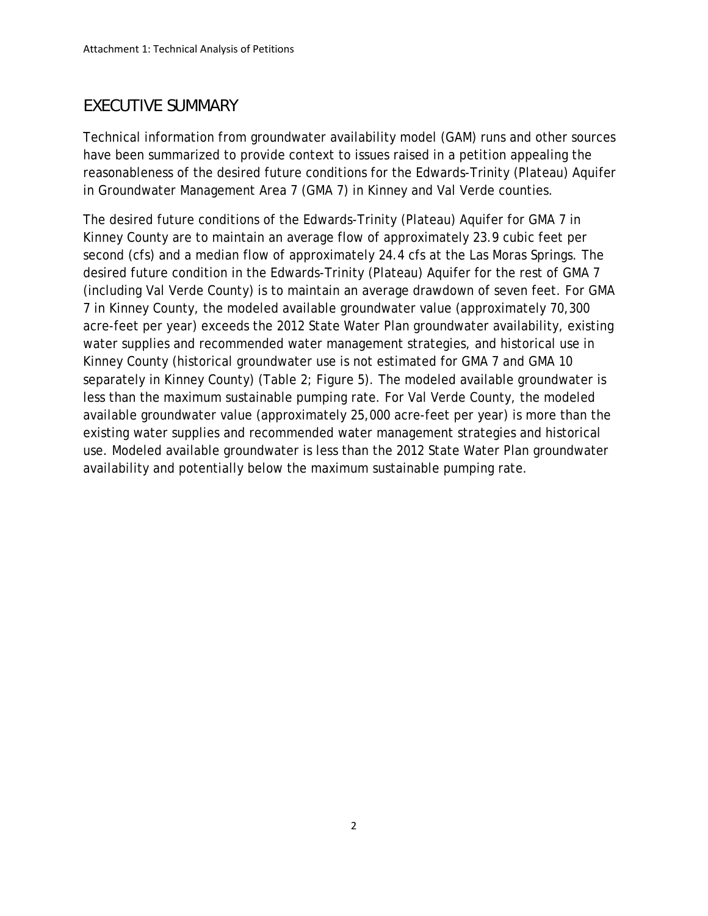## *EXECUTIVE SUMMARY*

Technical information from groundwater availability model (GAM) runs and other sources have been summarized to provide context to issues raised in a petition appealing the reasonableness of the desired future conditions for the Edwards-Trinity (Plateau) Aquifer in Groundwater Management Area 7 (GMA 7) in Kinney and Val Verde counties.

The desired future conditions of the Edwards-Trinity (Plateau) Aquifer for GMA 7 in Kinney County are to maintain an average flow of approximately 23.9 cubic feet per second (cfs) and a median flow of approximately 24.4 cfs at the Las Moras Springs. The desired future condition in the Edwards-Trinity (Plateau) Aquifer for the rest of GMA 7 (including Val Verde County) is to maintain an average drawdown of seven feet. For GMA 7 in Kinney County, the modeled available groundwater value (approximately 70,300 acre-feet per year) exceeds the 2012 State Water Plan groundwater availability, existing water supplies and recommended water management strategies, and historical use in Kinney County (historical groundwater use is not estimated for GMA 7 and GMA 10 separately in Kinney County) (Table 2; Figure 5). The modeled available groundwater is less than the maximum sustainable pumping rate. For Val Verde County, the modeled available groundwater value (approximately 25,000 acre-feet per year) is more than the existing water supplies and recommended water management strategies and historical use. Modeled available groundwater is less than the 2012 State Water Plan groundwater availability and potentially below the maximum sustainable pumping rate.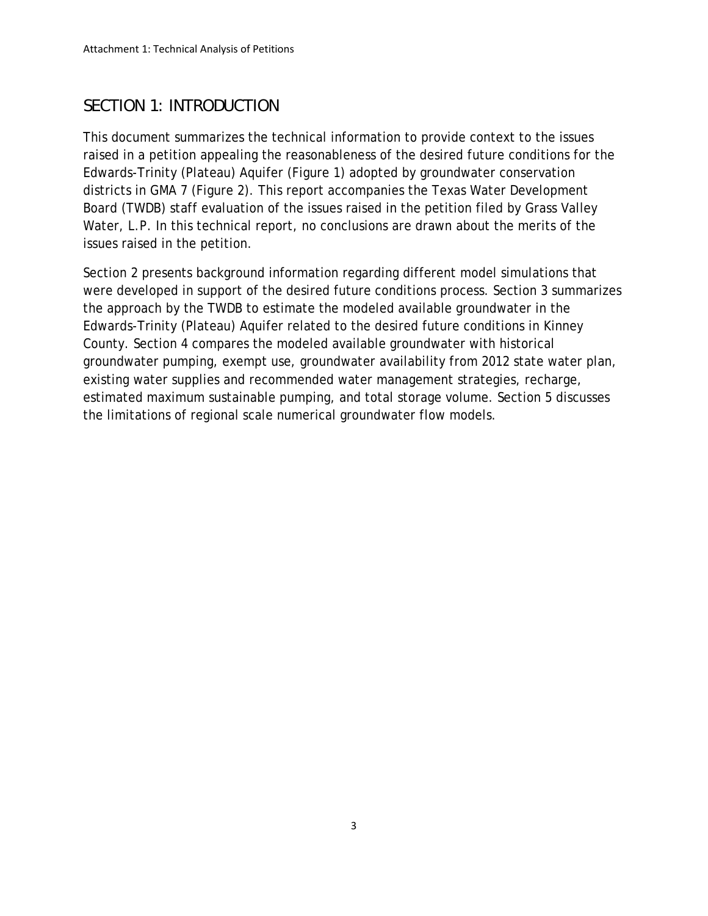## *SECTION 1: INTRODUCTION*

This document summarizes the technical information to provide context to the issues raised in a petition appealing the reasonableness of the desired future conditions for the Edwards-Trinity (Plateau) Aquifer (Figure 1) adopted by groundwater conservation districts in GMA 7 (Figure 2). This report accompanies the Texas Water Development Board (TWDB) staff evaluation of the issues raised in the petition filed by Grass Valley Water, L.P. In this technical report, no conclusions are drawn about the merits of the issues raised in the petition.

Section 2 presents background information regarding different model simulations that were developed in support of the desired future conditions process. Section 3 summarizes the approach by the TWDB to estimate the modeled available groundwater in the Edwards-Trinity (Plateau) Aquifer related to the desired future conditions in Kinney County. Section 4 compares the modeled available groundwater with historical groundwater pumping, exempt use, groundwater availability from 2012 state water plan, existing water supplies and recommended water management strategies, recharge, estimated maximum sustainable pumping, and total storage volume. Section 5 discusses the limitations of regional scale numerical groundwater flow models.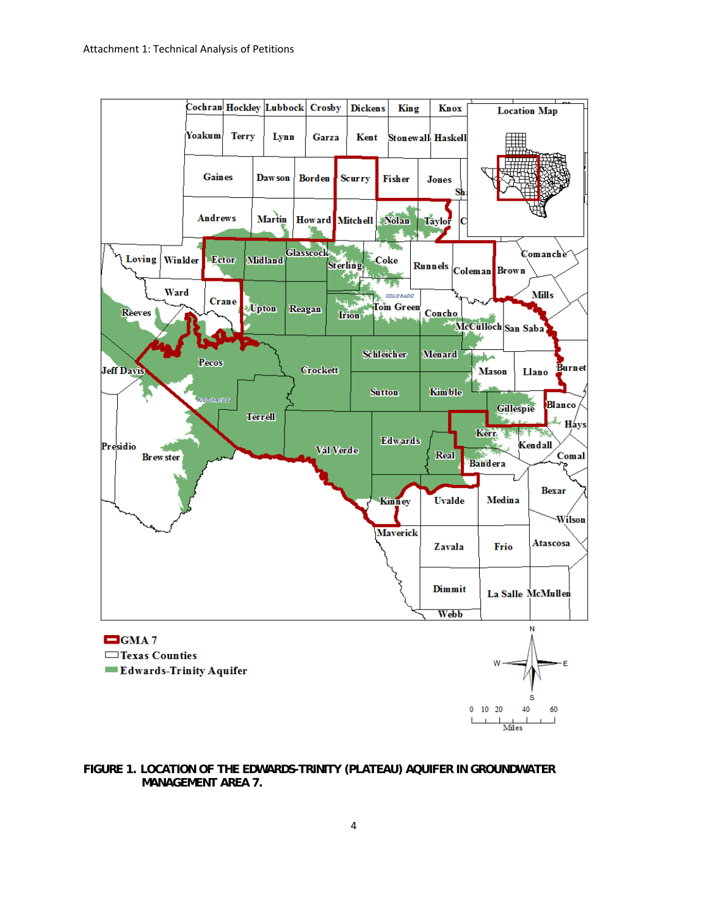

**FIGURE 1. LOCATION OF THE EDWARDS-TRINITY (PLATEAU) AQUIFER IN GROUNDWATER MANAGEMENT AREA 7.**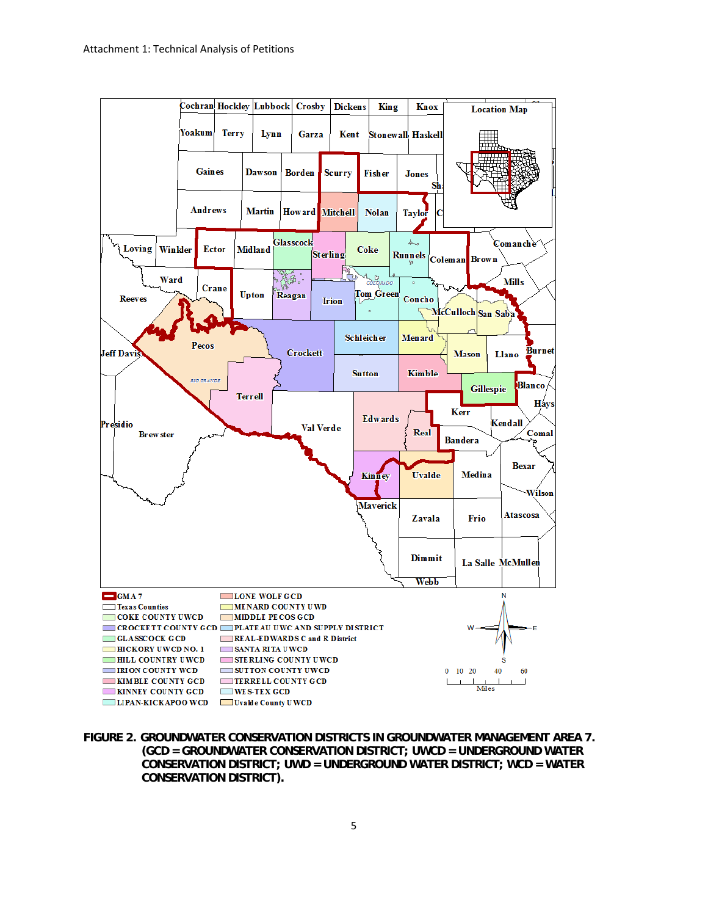

**FIGURE 2. GROUNDWATER CONSERVATION DISTRICTS IN GROUNDWATER MANAGEMENT AREA 7. (GCD = GROUNDWATER CONSERVATION DISTRICT; UWCD = UNDERGROUND WATER CONSERVATION DISTRICT; UWD = UNDERGROUND WATER DISTRICT; WCD = WATER CONSERVATION DISTRICT).**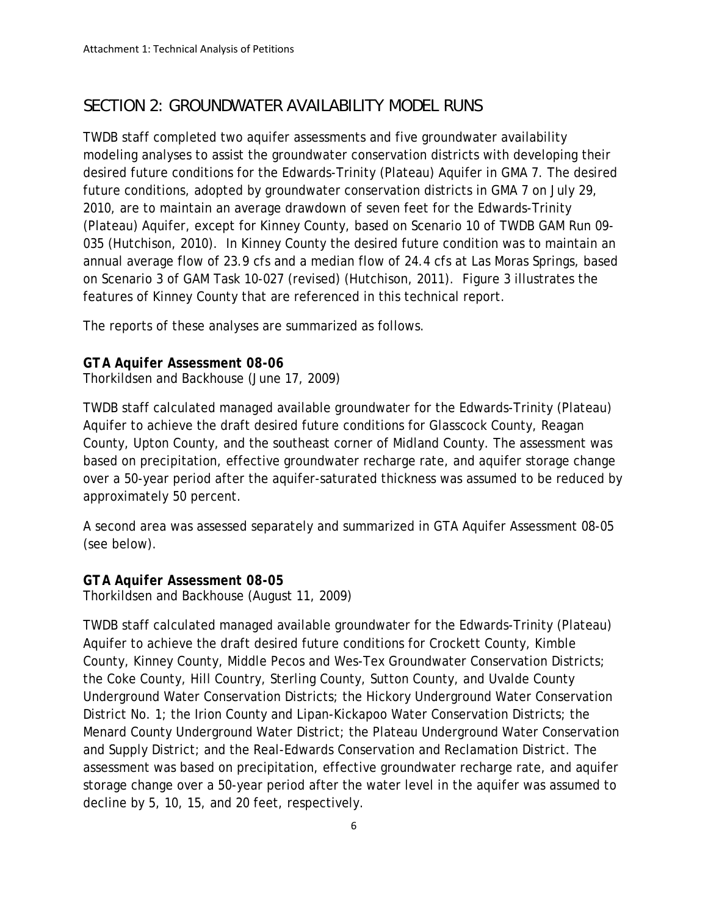## *SECTION 2: GROUNDWATER AVAILABILITY MODEL RUNS*

TWDB staff completed two aquifer assessments and five groundwater availability modeling analyses to assist the groundwater conservation districts with developing their desired future conditions for the Edwards-Trinity (Plateau) Aquifer in GMA 7. The desired future conditions, adopted by groundwater conservation districts in GMA 7 on July 29, 2010, are to maintain an average drawdown of seven feet for the Edwards-Trinity (Plateau) Aquifer, except for Kinney County, based on Scenario 10 of TWDB GAM Run 09- 035 (Hutchison, 2010). In Kinney County the desired future condition was to maintain an annual average flow of 23.9 cfs and a median flow of 24.4 cfs at Las Moras Springs, based on Scenario 3 of GAM Task 10-027 (revised) (Hutchison, 2011). Figure 3 illustrates the features of Kinney County that are referenced in this technical report.

The reports of these analyses are summarized as follows.

### *GTA Aquifer Assessment 08-06*

Thorkildsen and Backhouse (June 17, 2009)

TWDB staff calculated managed available groundwater for the Edwards-Trinity (Plateau) Aquifer to achieve the draft desired future conditions for Glasscock County, Reagan County, Upton County, and the southeast corner of Midland County. The assessment was based on precipitation, effective groundwater recharge rate, and aquifer storage change over a 50-year period after the aquifer-saturated thickness was assumed to be reduced by approximately 50 percent.

A second area was assessed separately and summarized in GTA Aquifer Assessment 08-05 (see below).

### *GTA Aquifer Assessment 08-05*

Thorkildsen and Backhouse (August 11, 2009)

TWDB staff calculated managed available groundwater for the Edwards-Trinity (Plateau) Aquifer to achieve the draft desired future conditions for Crockett County, Kimble County, Kinney County, Middle Pecos and Wes-Tex Groundwater Conservation Districts; the Coke County, Hill Country, Sterling County, Sutton County, and Uvalde County Underground Water Conservation Districts; the Hickory Underground Water Conservation District No. 1; the Irion County and Lipan-Kickapoo Water Conservation Districts; the Menard County Underground Water District; the Plateau Underground Water Conservation and Supply District; and the Real-Edwards Conservation and Reclamation District. The assessment was based on precipitation, effective groundwater recharge rate, and aquifer storage change over a 50-year period after the water level in the aquifer was assumed to decline by 5, 10, 15, and 20 feet, respectively.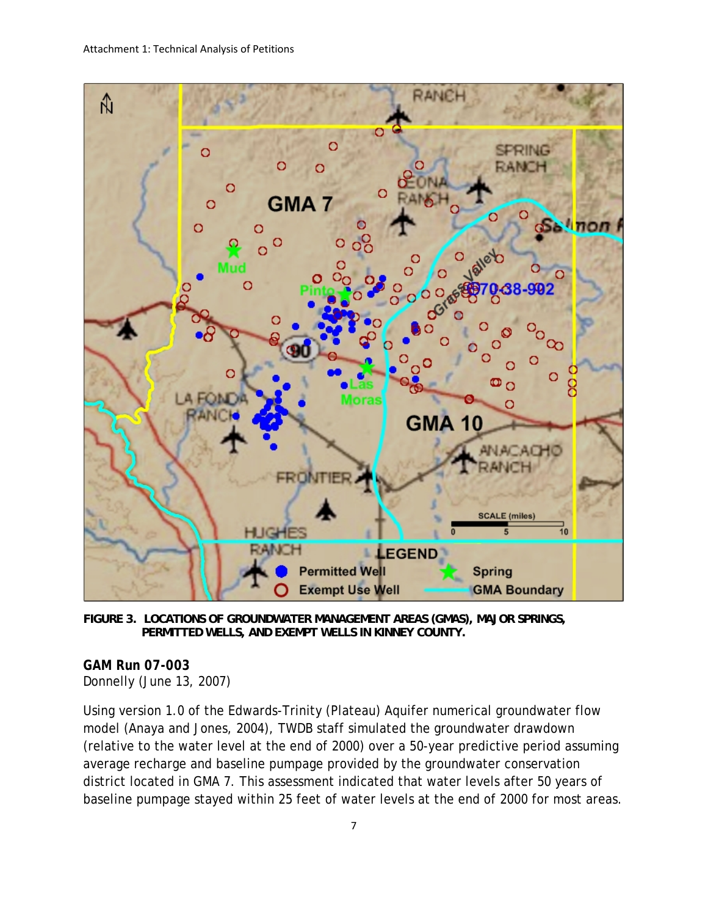

**FIGURE 3. LOCATIONS OF GROUNDWATER MANAGEMENT AREAS (GMAS), MAJOR SPRINGS, PERMITTED WELLS, AND EXEMPT WELLS IN KINNEY COUNTY.**

### *GAM Run 07-003*

Donnelly (June 13, 2007)

Using version 1.0 of the Edwards-Trinity (Plateau) Aquifer numerical groundwater flow model (Anaya and Jones, 2004), TWDB staff simulated the groundwater drawdown (relative to the water level at the end of 2000) over a 50-year predictive period assuming average recharge and baseline pumpage provided by the groundwater conservation district located in GMA 7. This assessment indicated that water levels after 50 years of baseline pumpage stayed within 25 feet of water levels at the end of 2000 for most areas.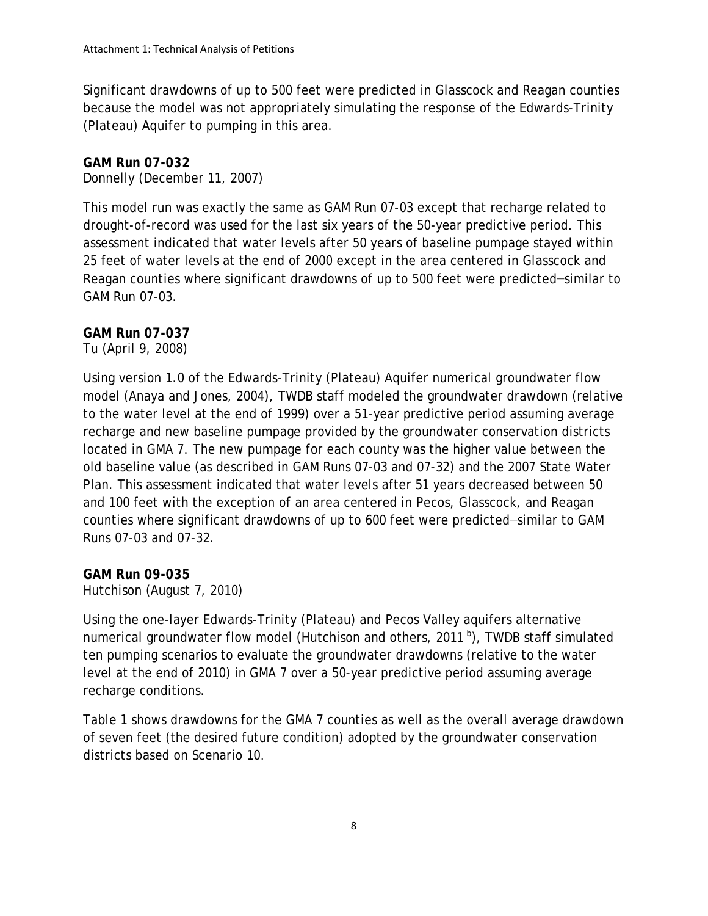Significant drawdowns of up to 500 feet were predicted in Glasscock and Reagan counties because the model was not appropriately simulating the response of the Edwards-Trinity (Plateau) Aquifer to pumping in this area.

### *GAM Run 07-032*

Donnelly (December 11, 2007)

This model run was exactly the same as GAM Run 07-03 except that recharge related to drought-of-record was used for the last six years of the 50-year predictive period. This assessment indicated that water levels after 50 years of baseline pumpage stayed within 25 feet of water levels at the end of 2000 except in the area centered in Glasscock and Reagan counties where significant drawdowns of up to 500 feet were predicted−similar to GAM Run 07-03.

### *GAM Run 07-037*

Tu (April 9, 2008)

Using version 1.0 of the Edwards-Trinity (Plateau) Aquifer numerical groundwater flow model (Anaya and Jones, 2004), TWDB staff modeled the groundwater drawdown (relative to the water level at the end of 1999) over a 51-year predictive period assuming average recharge and new baseline pumpage provided by the groundwater conservation districts located in GMA 7. The new pumpage for each county was the higher value between the old baseline value (as described in GAM Runs 07-03 and 07-32) and the 2007 State Water Plan. This assessment indicated that water levels after 51 years decreased between 50 and 100 feet with the exception of an area centered in Pecos, Glasscock, and Reagan counties where significant drawdowns of up to 600 feet were predicted−similar to GAM Runs 07-03 and 07-32.

### *GAM Run 09-035*

Hutchison (August 7, 2010)

Using the one-layer Edwards-Trinity (Plateau) and Pecos Valley aquifers alternative numerical groundwater flow model (Hutchison and others, 2011 $^{\rm b}$ ), TWDB staff simulated ten pumping scenarios to evaluate the groundwater drawdowns (relative to the water level at the end of 2010) in GMA 7 over a 50-year predictive period assuming average recharge conditions.

Table 1 shows drawdowns for the GMA 7 counties as well as the overall average drawdown of seven feet (the desired future condition) adopted by the groundwater conservation districts based on Scenario 10.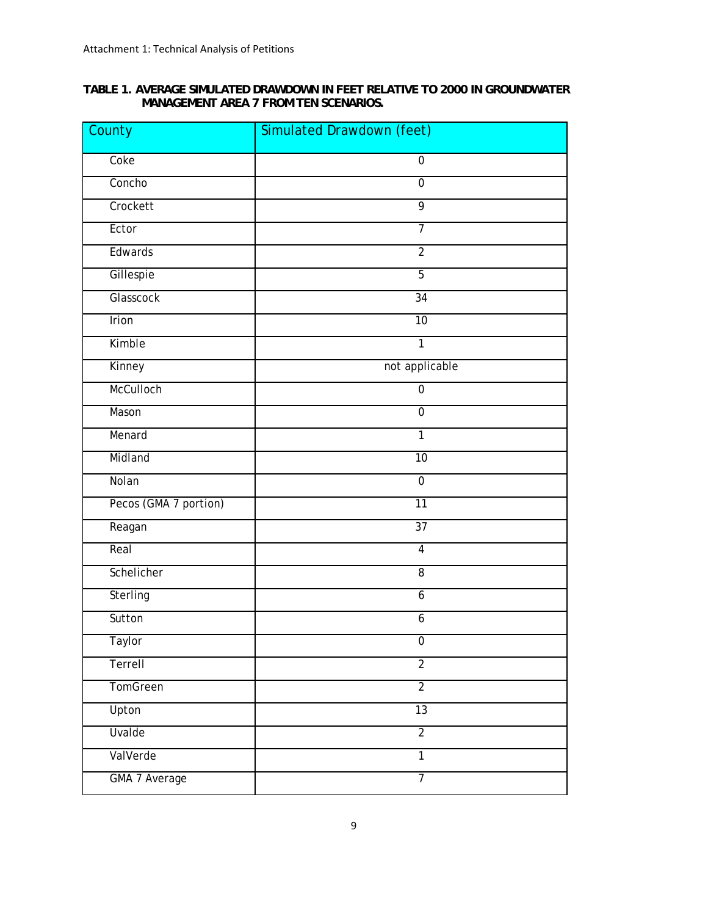#### **TABLE 1. AVERAGE SIMULATED DRAWDOWN IN FEET RELATIVE TO 2000 IN GROUNDWATER MANAGEMENT AREA 7 FROM TEN SCENARIOS.**

| County                | Simulated Drawdown (feet) |
|-----------------------|---------------------------|
| Coke                  | $\boldsymbol{0}$          |
| Concho                | $\mathbf 0$               |
| Crockett              | $\overline{9}$            |
| Ector                 | 7                         |
| Edwards               | $\overline{2}$            |
| Gillespie             | $\overline{5}$            |
| <b>Glasscock</b>      | 34                        |
| Irion                 | $\overline{10}$           |
| Kimble                | 1                         |
| Kinney                | not applicable            |
| McCulloch             | $\boldsymbol{0}$          |
| Mason                 | $\mathbf 0$               |
| Menard                | 1                         |
| Midland               | $\overline{10}$           |
| Nolan                 | $\overline{0}$            |
| Pecos (GMA 7 portion) | 11                        |
| Reagan                | $\overline{37}$           |
| Real                  | $\overline{4}$            |
| Schelicher            | $\overline{8}$            |
| Sterling              | $\overline{6}$            |
| Sutton                | 6                         |
| <b>Taylor</b>         | U                         |
| Terrell               | $\overline{2}$            |
| TomGreen              | $\overline{2}$            |
| Upton                 | $\overline{13}$           |
| Uvalde                | $\overline{2}$            |
| ValVerde              | $\overline{1}$            |
| GMA 7 Average         | 7                         |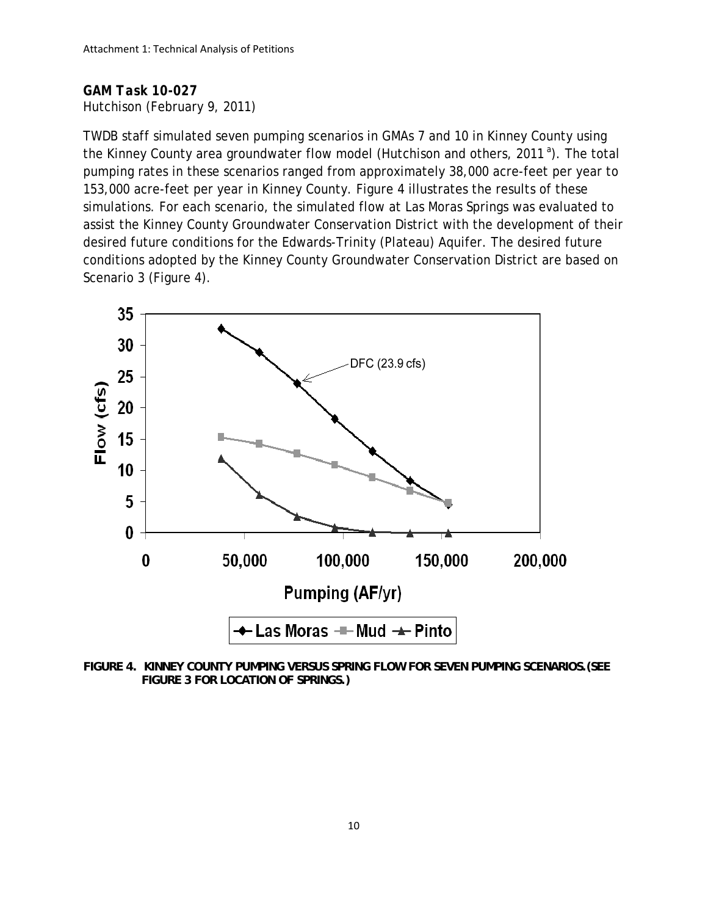# *GAM Task 10-027*

Hutchison (February 9, 2011)

TWDB staff simulated seven pumping scenarios in GMAs 7 and 10 in Kinney County using the Kinney County area groundwater flow model (Hutchison and others, 2011<sup>a</sup>). The total pumping rates in these scenarios ranged from approximately 38,000 acre-feet per year to 153,000 acre-feet per year in Kinney County. Figure 4 illustrates the results of these simulations. For each scenario, the simulated flow at Las Moras Springs was evaluated to assist the Kinney County Groundwater Conservation District with the development of their desired future conditions for the Edwards-Trinity (Plateau) Aquifer. The desired future conditions adopted by the Kinney County Groundwater Conservation District are based on Scenario 3 (Figure 4).



**FIGURE 4. KINNEY COUNTY PUMPING VERSUS SPRING FLOW FOR SEVEN PUMPING SCENARIOS.(SEE FIGURE 3 FOR LOCATION OF SPRINGS.)**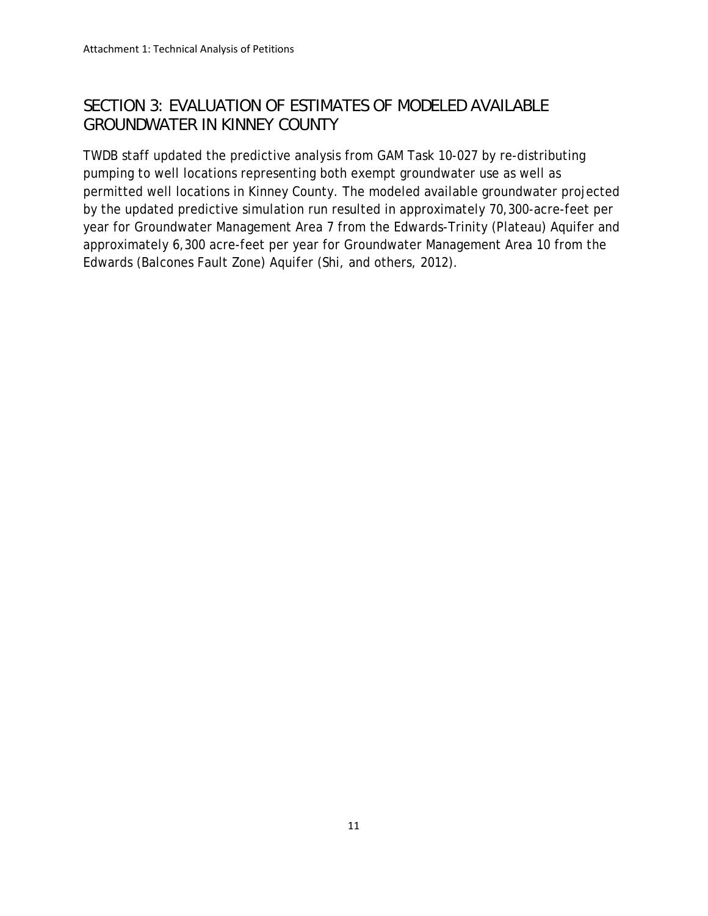## *SECTION 3: EVALUATION OF ESTIMATES OF MODELED AVAILABLE GROUNDWATER IN KINNEY COUNTY*

TWDB staff updated the predictive analysis from GAM Task 10-027 by re-distributing pumping to well locations representing both exempt groundwater use as well as permitted well locations in Kinney County. The modeled available groundwater projected by the updated predictive simulation run resulted in approximately 70,300-acre-feet per year for Groundwater Management Area 7 from the Edwards-Trinity (Plateau) Aquifer and approximately 6,300 acre-feet per year for Groundwater Management Area 10 from the Edwards (Balcones Fault Zone) Aquifer (Shi, and others, 2012).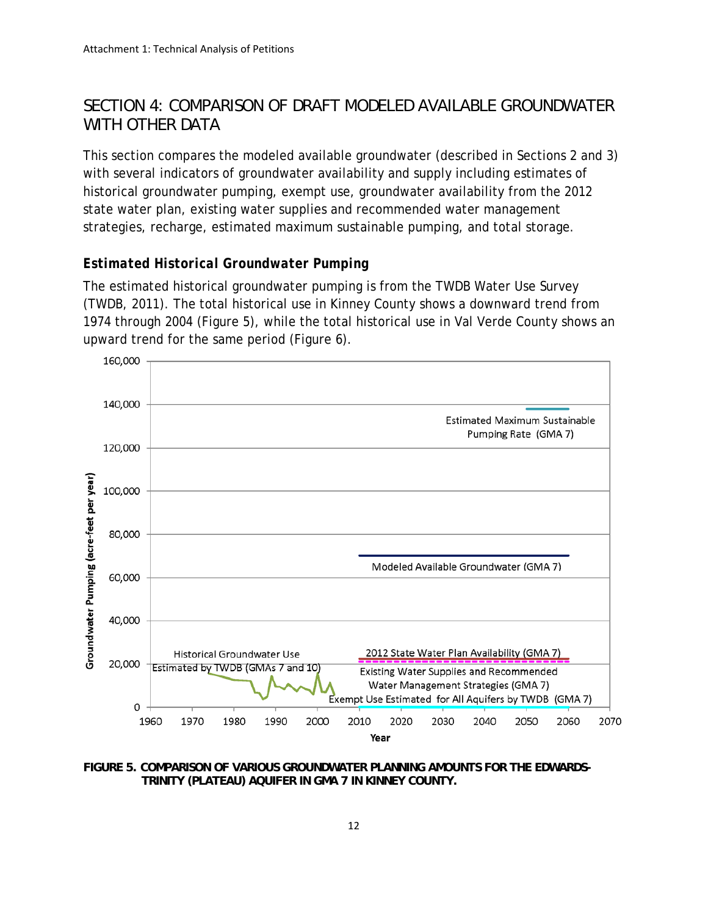### *SECTION 4: COMPARISON OF DRAFT MODELED AVAILABLE GROUNDWATER WITH OTHER DATA*

This section compares the modeled available groundwater (described in Sections 2 and 3) with several indicators of groundwater availability and supply including estimates of historical groundwater pumping, exempt use, groundwater availability from the 2012 state water plan, existing water supplies and recommended water management strategies, recharge, estimated maximum sustainable pumping, and total storage.

#### *Estimated Historical Groundwater Pumping*

The estimated historical groundwater pumping is from the TWDB Water Use Survey (TWDB, 2011). The total historical use in Kinney County shows a downward trend from 1974 through 2004 (Figure 5), while the total historical use in Val Verde County shows an upward trend for the same period (Figure 6).



**FIGURE 5. COMPARISON OF VARIOUS GROUNDWATER PLANNING AMOUNTS FOR THE EDWARDS-TRINITY (PLATEAU) AQUIFER IN GMA 7 IN KINNEY COUNTY.**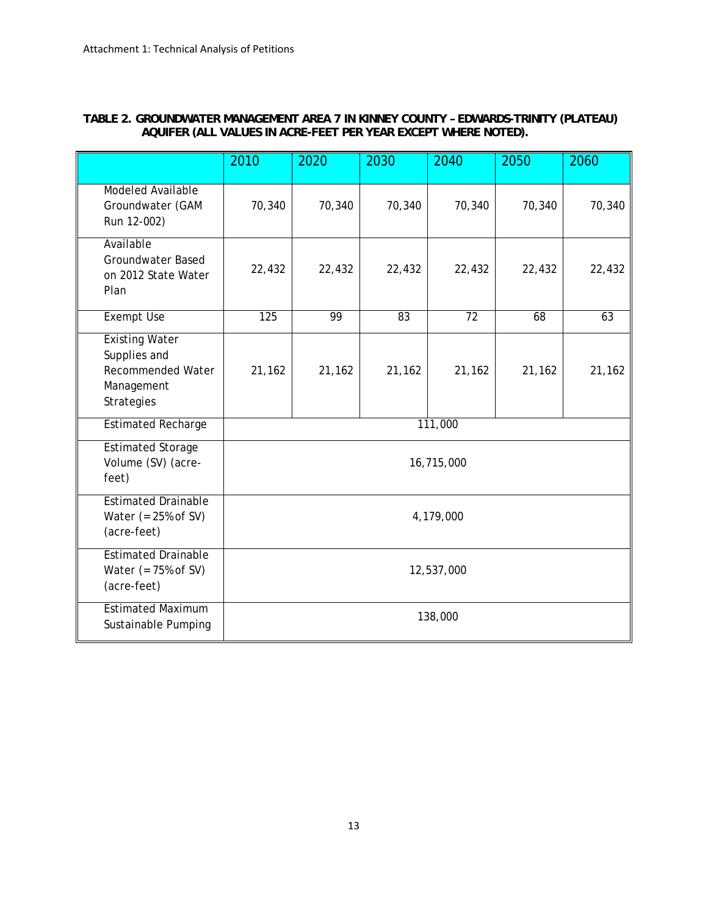#### **TABLE 2. GROUNDWATER MANAGEMENT AREA 7 IN KINNEY COUNTY – EDWARDS-TRINITY (PLATEAU) AQUIFER (ALL VALUES IN ACRE-FEET PER YEAR EXCEPT WHERE NOTED).**

|                                                                                        | 2010       | 2020   | 2030   | 2040   | 2050   | 2060   |  |  |
|----------------------------------------------------------------------------------------|------------|--------|--------|--------|--------|--------|--|--|
| <b>Modeled Available</b><br>Groundwater (GAM<br>Run 12-002)                            | 70,340     | 70,340 | 70,340 | 70,340 | 70,340 | 70,340 |  |  |
| Available<br><b>Groundwater Based</b><br>on 2012 State Water<br>Plan                   | 22,432     | 22,432 | 22,432 | 22,432 | 22,432 | 22,432 |  |  |
| Exempt Use                                                                             | 125        | 99     | 83     | 72     | 68     | 63     |  |  |
| <b>Existing Water</b><br>Supplies and<br>Recommended Water<br>Management<br>Strategies | 21,162     | 21,162 | 21,162 | 21,162 | 21,162 | 21,162 |  |  |
| <b>Estimated Recharge</b>                                                              | 111,000    |        |        |        |        |        |  |  |
| <b>Estimated Storage</b><br>Volume (SV) (acre-<br>feet)                                | 16,715,000 |        |        |        |        |        |  |  |
| <b>Estimated Drainable</b><br>Water $(= 25\% \text{ of } SV)$<br>(acre-feet)           | 4,179,000  |        |        |        |        |        |  |  |
| <b>Estimated Drainable</b><br>Water $(= 75\% \text{ of } SV)$<br>(acre-feet)           | 12,537,000 |        |        |        |        |        |  |  |
| <b>Estimated Maximum</b><br>Sustainable Pumping                                        | 138,000    |        |        |        |        |        |  |  |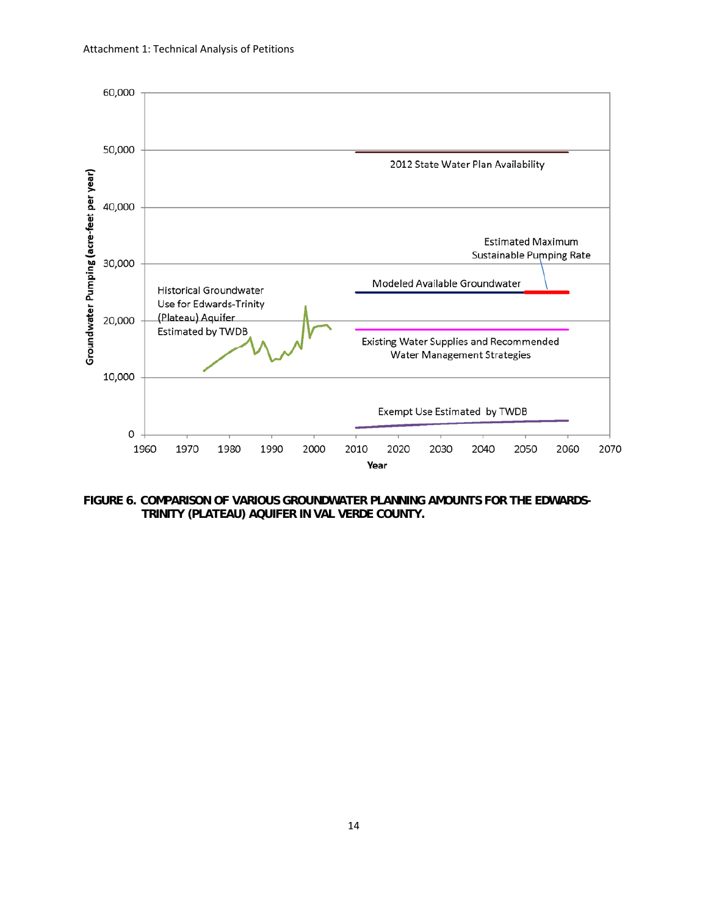

**FIGURE 6. COMPARISON OF VARIOUS GROUNDWATER PLANNING AMOUNTS FOR THE EDWARDS-TRINITY (PLATEAU) AQUIFER IN VAL VERDE COUNTY.**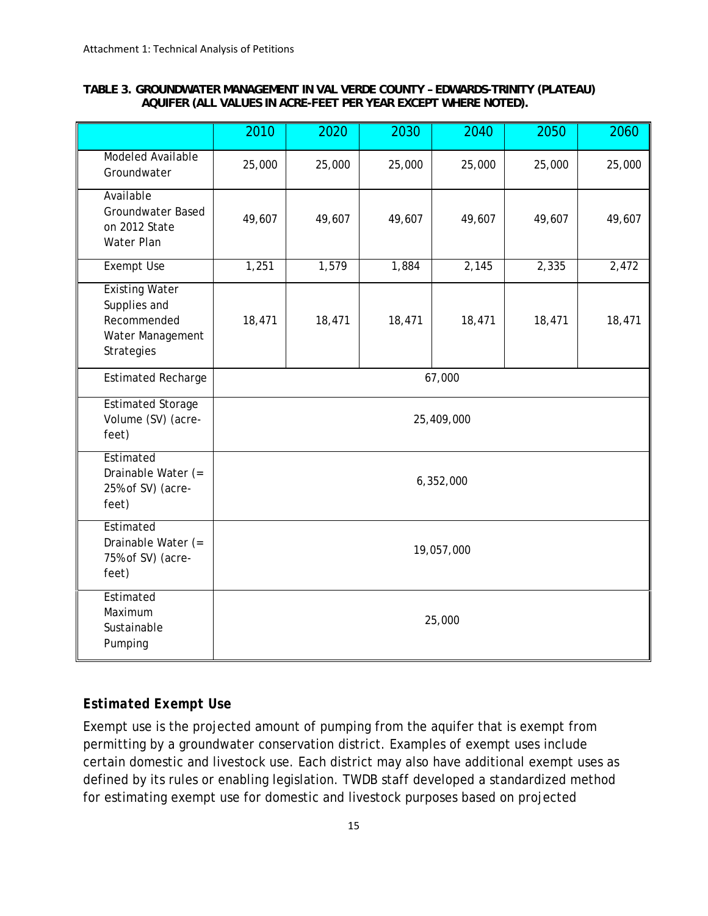#### **TABLE 3. GROUNDWATER MANAGEMENT IN VAL VERDE COUNTY – EDWARDS-TRINITY (PLATEAU) AQUIFER (ALL VALUES IN ACRE-FEET PER YEAR EXCEPT WHERE NOTED).**

|                                                                                        | 2010       | 2020   | 2030   | 2040   | 2050   | 2060   |  |  |
|----------------------------------------------------------------------------------------|------------|--------|--------|--------|--------|--------|--|--|
| <b>Modeled Available</b><br>Groundwater                                                | 25,000     | 25,000 | 25,000 | 25,000 | 25,000 | 25,000 |  |  |
| Available<br>Groundwater Based<br>on 2012 State<br>Water Plan                          | 49,607     | 49,607 | 49,607 | 49,607 | 49,607 | 49,607 |  |  |
| <b>Exempt Use</b>                                                                      | 1,251      | 1,579  | 1,884  | 2,145  | 2,335  | 2,472  |  |  |
| <b>Existing Water</b><br>Supplies and<br>Recommended<br>Water Management<br>Strategies | 18,471     | 18,471 | 18,471 | 18,471 | 18,471 | 18,471 |  |  |
| <b>Estimated Recharge</b>                                                              | 67,000     |        |        |        |        |        |  |  |
| <b>Estimated Storage</b><br>Volume (SV) (acre-<br>feet)                                | 25,409,000 |        |        |        |        |        |  |  |
| Estimated<br>Drainable Water (=<br>25% of SV) (acre-<br>feet)                          | 6,352,000  |        |        |        |        |        |  |  |
| Estimated<br>Drainable Water (=<br>75% of SV) (acre-<br>feet)                          | 19,057,000 |        |        |        |        |        |  |  |
| Estimated<br>Maximum<br>Sustainable<br>Pumping                                         | 25,000     |        |        |        |        |        |  |  |

### *Estimated Exempt Use*

Exempt use is the projected amount of pumping from the aquifer that is exempt from permitting by a groundwater conservation district. Examples of exempt uses include certain domestic and livestock use. Each district may also have additional exempt uses as defined by its rules or enabling legislation. TWDB staff developed a standardized method for estimating exempt use for domestic and livestock purposes based on projected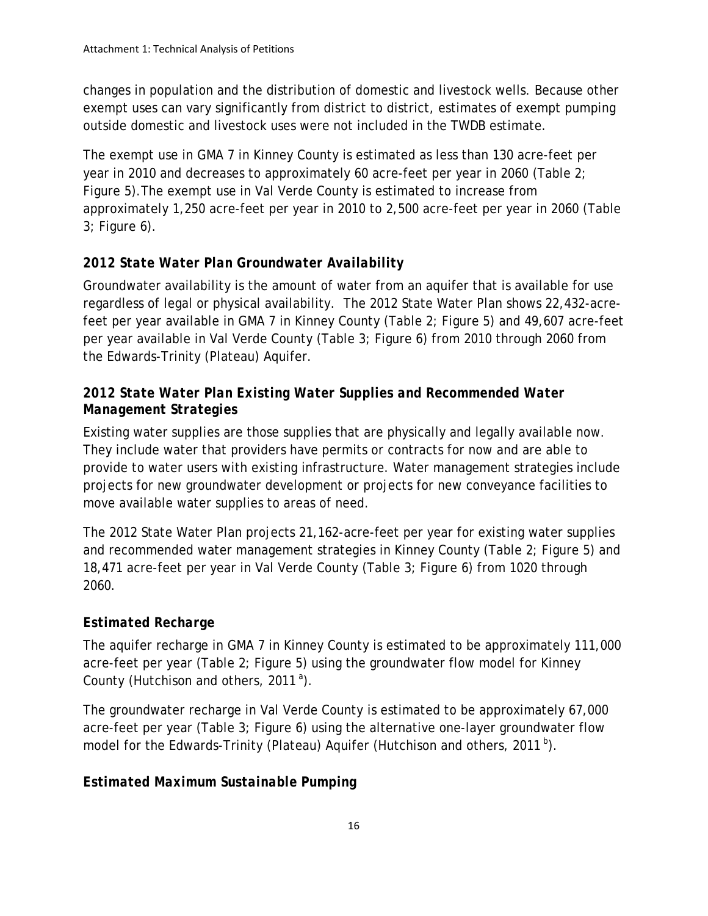changes in population and the distribution of domestic and livestock wells. Because other exempt uses can vary significantly from district to district, estimates of exempt pumping outside domestic and livestock uses were not included in the TWDB estimate.

The exempt use in GMA 7 in Kinney County is estimated as less than 130 acre-feet per year in 2010 and decreases to approximately 60 acre-feet per year in 2060 (Table 2; Figure 5).The exempt use in Val Verde County is estimated to increase from approximately 1,250 acre-feet per year in 2010 to 2,500 acre-feet per year in 2060 (Table 3; Figure 6).

## *2012 State Water Plan Groundwater Availability*

Groundwater availability is the amount of water from an aquifer that is available for use regardless of legal or physical availability. The 2012 State Water Plan shows 22,432-acrefeet per year available in GMA 7 in Kinney County (Table 2; Figure 5) and 49,607 acre-feet per year available in Val Verde County (Table 3; Figure 6) from 2010 through 2060 from the Edwards-Trinity (Plateau) Aquifer.

### *2012 State Water Plan Existing Water Supplies and Recommended Water Management Strategies*

Existing water supplies are those supplies that are physically and legally available now. They include water that providers have permits or contracts for now and are able to provide to water users with existing infrastructure. Water management strategies include projects for new groundwater development or projects for new conveyance facilities to move available water supplies to areas of need.

The 2012 State Water Plan projects 21,162-acre-feet per year for existing water supplies and recommended water management strategies in Kinney County (Table 2; Figure 5) and 18,471 acre-feet per year in Val Verde County (Table 3; Figure 6) from 1020 through 2060.

## *Estimated Recharge*

The aquifer recharge in GMA 7 in Kinney County is estimated to be approximately 111,000 acre-feet per year (Table 2; Figure 5) using the groundwater flow model for Kinney County (Hutchison and others, 2011<sup>a</sup>).

The groundwater recharge in Val Verde County is estimated to be approximately 67,000 acre-feet per year (Table 3; Figure 6) using the alternative one-layer groundwater flow model for the Edwards-Trinity (Plateau) Aquifer (Hutchison and others, 2011<sup>b</sup>).

### *Estimated Maximum Sustainable Pumping*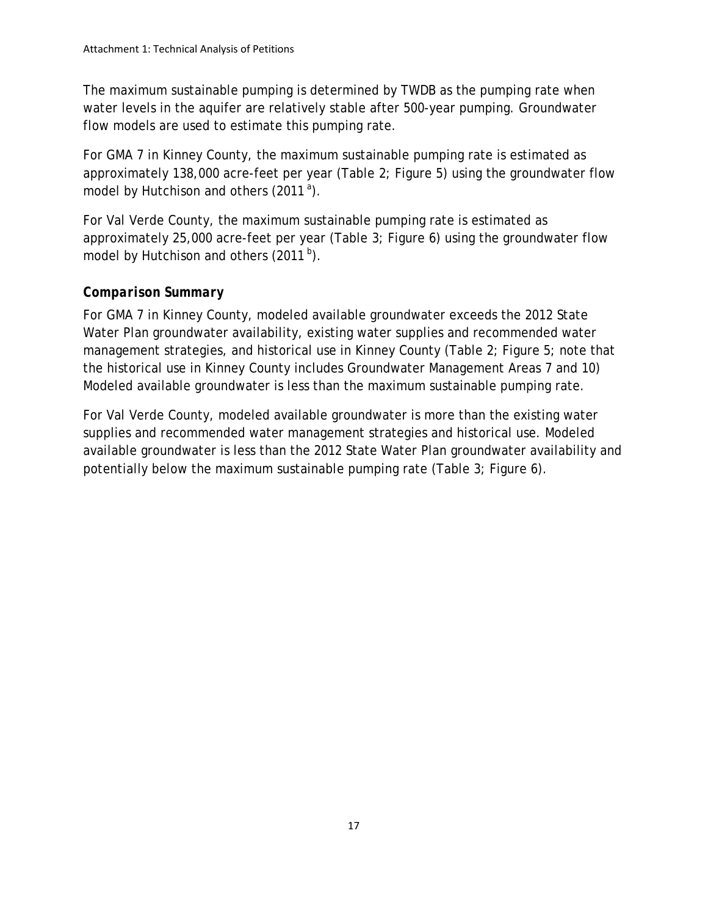The maximum sustainable pumping is determined by TWDB as the pumping rate when water levels in the aquifer are relatively stable after 500-year pumping. Groundwater flow models are used to estimate this pumping rate.

For GMA 7 in Kinney County, the maximum sustainable pumping rate is estimated as approximately 138,000 acre-feet per year (Table 2; Figure 5) using the groundwater flow model by Hutchison and others  $(2011<sup>a</sup>)$ .

For Val Verde County, the maximum sustainable pumping rate is estimated as approximately 25,000 acre-feet per year (Table 3; Figure 6) using the groundwater flow model by Hutchison and others  $(2011<sup>b</sup>)$ .

### *Comparison Summary*

For GMA 7 in Kinney County, modeled available groundwater exceeds the 2012 State Water Plan groundwater availability, existing water supplies and recommended water management strategies, and historical use in Kinney County (Table 2; Figure 5; note that the historical use in Kinney County includes Groundwater Management Areas 7 and 10) Modeled available groundwater is less than the maximum sustainable pumping rate.

For Val Verde County, modeled available groundwater is more than the existing water supplies and recommended water management strategies and historical use. Modeled available groundwater is less than the 2012 State Water Plan groundwater availability and potentially below the maximum sustainable pumping rate (Table 3; Figure 6).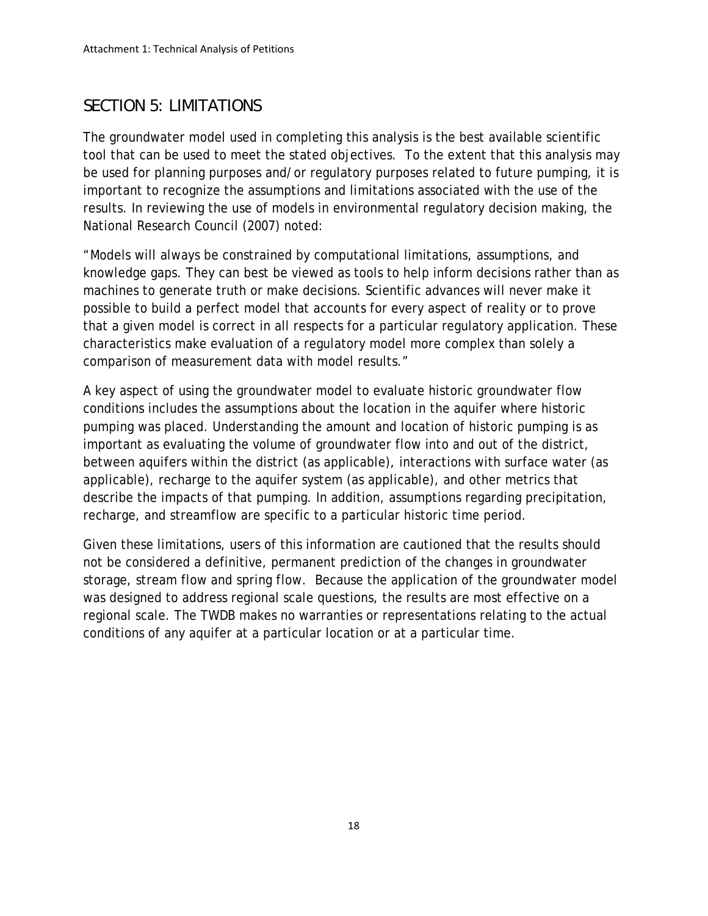## *SECTION 5: LIMITATIONS*

The groundwater model used in completing this analysis is the best available scientific tool that can be used to meet the stated objectives. To the extent that this analysis may be used for planning purposes and/or regulatory purposes related to future pumping, it is important to recognize the assumptions and limitations associated with the use of the results. In reviewing the use of models in environmental regulatory decision making, the National Research Council (2007) noted:

"Models will always be constrained by computational limitations, assumptions, and knowledge gaps. They can best be viewed as tools to help inform decisions rather than as machines to generate truth or make decisions. Scientific advances will never make it possible to build a perfect model that accounts for every aspect of reality or to prove that a given model is correct in all respects for a particular regulatory application. These characteristics make evaluation of a regulatory model more complex than solely a comparison of measurement data with model results."

A key aspect of using the groundwater model to evaluate historic groundwater flow conditions includes the assumptions about the location in the aquifer where historic pumping was placed. Understanding the amount and location of historic pumping is as important as evaluating the volume of groundwater flow into and out of the district, between aquifers within the district (as applicable), interactions with surface water (as applicable), recharge to the aquifer system (as applicable), and other metrics that describe the impacts of that pumping. In addition, assumptions regarding precipitation, recharge, and streamflow are specific to a particular historic time period.

Given these limitations, users of this information are cautioned that the results should not be considered a definitive, permanent prediction of the changes in groundwater storage, stream flow and spring flow. Because the application of the groundwater model was designed to address regional scale questions, the results are most effective on a regional scale. The TWDB makes no warranties or representations relating to the actual conditions of any aquifer at a particular location or at a particular time.